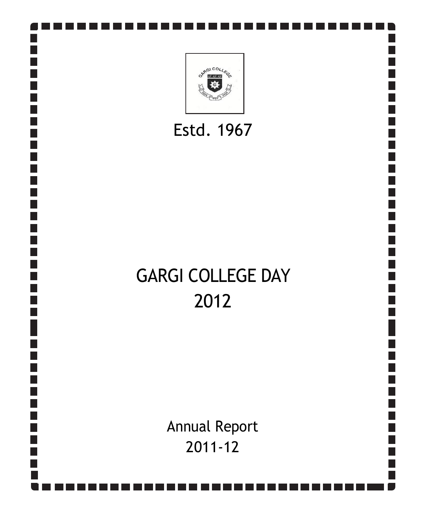

## Estd. 1967  $\overline{L}$

# GARGI COLLEGE DAY 2012

Annual Report 2011-12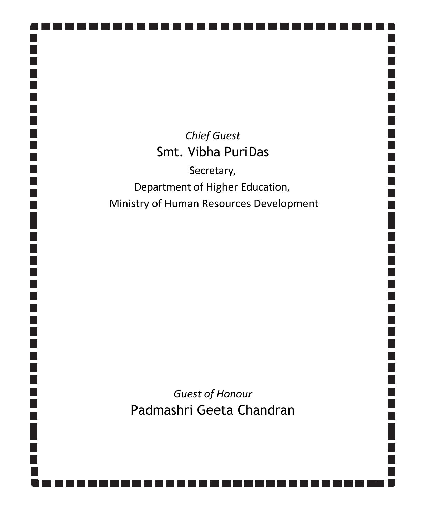*Chief Guest* Smt. Vibha PuriDas Secretary, Department of Higher Education, Ministry of Human Resources Development

*Guest of Honour* Padmashri Geeta Chandran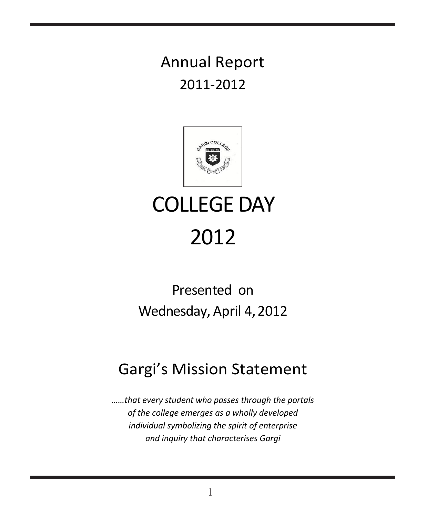# Annual Report 2011-2012



# COLLEGE DAY 2012

## Presented on Wednesday, April 4, 2012

## Gargi's Mission Statement

*……that every student who passes through the portals of the college emerges as a wholly developed individual symbolizing the spirit of enterprise and inquiry that characterises Gargi*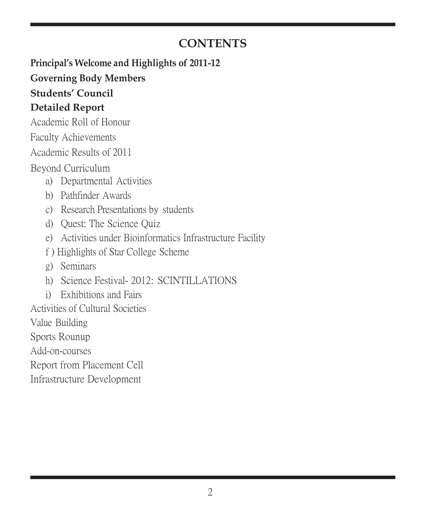## **CONTENTS**

**Principal"s Welcome and Highlights of 2011-12** 

**Governing Body Members**

## **Students" Council**

## **Detailed Report**

Academic Roll of Honour

Faculty Achievements

Academic Results of 2011

## Beyond Curriculum

- a) Departmental Activities
- b) Pathfinder Awards
- c) Research Presentations by students
- d) Quest: The Science Quiz
- e) Activities under Bioinformatics Infrastructure Facility
- f ) Highlights of Star College Scheme
- g) Seminars
- h) Science Festival- 2012: SCINTILLATIONS
- i) Exhibitions and Fairs

Activities of Cultural Societies

Value Building

Sports Rounup

Add-on-courses

Report from Placement Cell

Infrastructure Development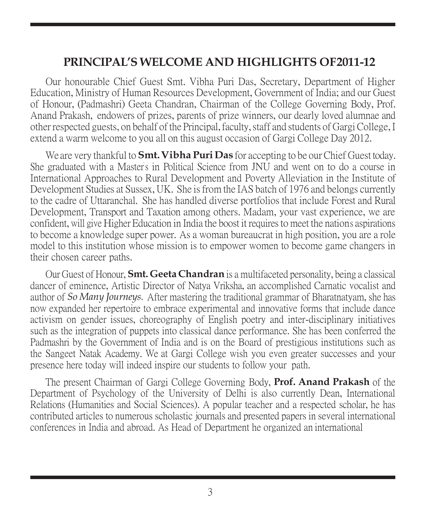## **PRINCIPAL"S WELCOME AND HIGHLIGHTS OF2011-12**

Our honourable Chief Guest Smt. Vibha Puri Das, Secretary, Department of Higher Education, Ministry of Human Resources Development, Government of India; and our Guest of Honour, (Padmashri) Geeta Chandran, Chairman of the College Governing Body, Prof. Anand Prakash, endowers of prizes, parents of prize winners, our dearly loved alumnae and other respected guests, on behalf of the Principal,faculty,staff and students of Gargi College,I extend a warm welcome to you all on this august occasion of Gargi College Day 2012.

We are very thankful to **Smt.Vibha Puri Das** for accepting to be our Chief Guest today. She graduated with a Master's in Political Science from JNU and went on to do a course in International Approaches to Rural Development and Poverty Alleviation in the Institute of Development Studies at Sussex, UK. She is from the IAS batch of 1976 and belongs currently to the cadre of Uttaranchal. She has handled diverse portfolios that include Forest and Rural Development, Transport and Taxation among others. Madam, your vast experience, we are confident, will give Higher Education in India the boost it requires to meet the nation's aspirations to become a knowledge super power. As a woman bureaucrat in high position, you are a role model to this institution whose mission is to empower women to become game changers in their chosen career paths.

OurGuest of Honour, **Smt. Geeta Chandran** is a multifaceted personality, being a classical dancer of eminence, Artistic Director of Natya Vriksha, an accomplished Carnatic vocalist and author of *So Many Journeys.* After mastering the traditional grammar of Bharatnatyam, she has now expanded her repertoire to embrace experimental and innovative forms that include dance activism on gender issues, choreography of English poetry and inter-disciplinary initiatives such as the integration of puppets into classical dance performance. She has been conferred the Padmashri by the Government of India and is on the Board of prestigious institutions such as the Sangeet Natak Academy. We at Gargi College wish you even greater successes and your presence here today will indeed inspire our students to follow your path.

The present Chairman of Gargi College Governing Body, **Prof. Anand Prakash** of the Department of Psychology of the University of Delhi is also currently Dean, International Relations (Humanities and Social Sciences). A popular teacher and a respected scholar, he has contributed articles to numerous scholastic journals and presented papers in several international conferences in India and abroad. As Head of Department he organized an international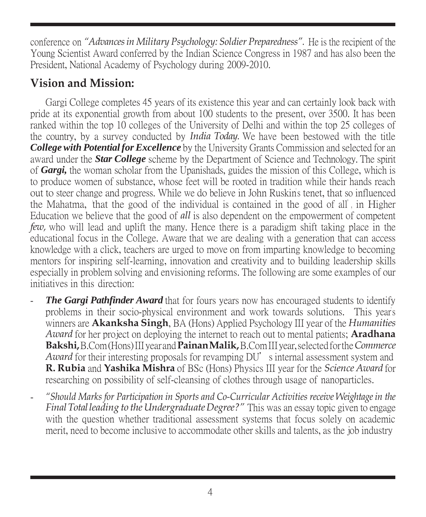conference on *"Advancesin Military Psychology: Soldier Preparedness".* He is the recipient of the Young Scientist Award conferred by the Indian Science Congress in 1987 and has also been the President, National Academy of Psychology during 2009-2010.

## **Vision and Mission:**

Gargi College completes 45 years of its existence this year and can certainly look back with pride at its exponential growth from about 100 students to the present, over 3500. It has been ranked within the top 10 colleges of the University of Delhi and within the top 25 colleges of the country, by a survey conducted by *India Today.* We have been bestowed with the title *College with Potential for Excellence* by the University Grants Commission and selected for an award under the *Star College* scheme by the Department of Science and Technology. The spirit of *Gargi,* the woman scholar from the Upanishads, guides the mission of this College, which is to produce women of substance, whose feet will be rooted in tradition while their hands reach out to steer change and progress. While we do believe in John Ruskin's tenet, that so influenced the Mahatma, 'that the good of the individual is contained in the good of all', in Higher Education we believe that the good of *all* is also dependent on the empowerment of competent *few,* who will lead and uplift the many. Hence there is a paradigm shift taking place in the educational focus in the College. Aware that we are dealing with a generation that can access knowledge with a click, teachers are urged to move on from imparting knowledge to becoming mentors for inspiring self-learning, innovation and creativity and to building leadership skills especially in problem solving and envisioning reforms. The following are some examples of our initiatives in this direction:

- *The Gargi Pathfinder Award* that for fours years now has encouraged students to identify problems in their socio-physical environment and work towards solutions. This year's winners are **Akanksha Singh**, BA (Hons) Applied Psychology III year of the *Humanities Award* for her project on deploying the internet to reach out to mental patients; **Aradhana Bakshi,**B.Com(Hons)IIIyearand**PainanMalik,**B.ComIIIyear,selectedforthe*Commerce Award* for their interesting proposals for revamping DU's internal assessment system and **R. Rubia** and **Yashika Mishra** of BSc (Hons) Physics III year for the *Science Award* for researching on possibility of self-cleansing of clothes through usage of nanoparticles.
- *"Should Marks for Participation in Sports and Co-Curricular Activities receive Weightage in the FinalTotalleading to theUndergraduateDegree?"* This was an essay topic given to engage with the question whether traditional assessment systems that focus solely on academic merit, need to become inclusive to accommodate other skills and talents, as the job industry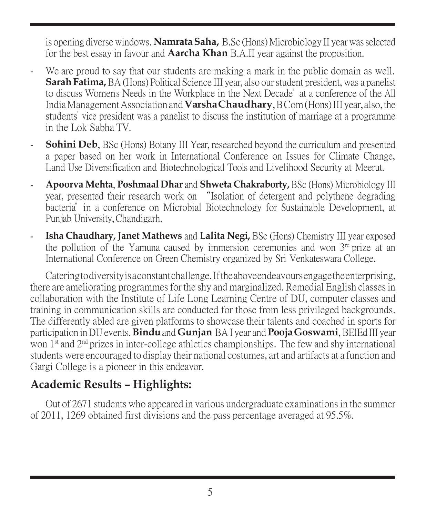is opening diversewindows. **NamrataSaha,** B.Sc (Hons) Microbiology II yearwasselected for the best essay in favour and **Aarcha Khan** B.A.II year against the proposition.

- We are proud to say that our students are making a mark in the public domain as well. **Sarah Fatima,** BA (Hons) Political Science III year, also our student president, was a panelist to discuss Women's Needs in the Workplace in the Next Decade' at a conference of the All IndiaManagementAssociation and**VarshaChaudhary**,BCom(Hons)III year,also,the students' vice president was a panelist to discuss the institution of marriage at a programme in the Lok Sabha TV.
- **Sohini Deb**, BSc (Hons) Botany III Year, researched beyond the curriculum and presented a paper based on her work in International Conference on Issues for Climate Change, Land Use Diversification and Biotechnological Tools and Livelihood Security at Meerut.
- **Apoorva Mehta**, **Poshmaal Dhar** and **Shweta Chakraborty,** BSc (Hons) Microbiology III year, presented their research work on 'Isolation of detergent and polythene degrading bacteria' in a conference on Microbial Biotechnology for Sustainable Development, at Punjab University,Chandigarh.
- **Isha Chaudhary, Janet Mathews** and **Lalita Negi,** BSc (Hons) Chemistry III year exposed the pollution of the Yamuna caused by immersion ceremonies and won  $3<sup>rd</sup>$  prize at an International Conference on Green Chemistry organized by Sri Venkateswara College.

Cateringtodiversityisaconstantchallenge.Iftheaboveendeavoursengagetheenterprising, there are ameliorating programmes for the shy and marginalized. Remedial English classes in collaboration with the Institute of Life Long Learning Centre of DU, computer classes and training in communication skills are conducted for those from less privileged backgrounds. The differently abled are given platforms to showcase their talents and coached in sports for participation inDUevents.**Bindu**and **Gunjan** BAI year and **PoojaGoswami**,BElEd III year won 1<sup>st</sup> and 2<sup>nd</sup> prizes in inter-college athletics championships. The few and shy international students were encouraged to display their national costumes, art and artifacts at a function and Gargi College is a pioneer in this endeavor.

## **Academic Results – Highlights:**

Out of 2671 students who appeared in various undergraduate examinationsin the summer of 2011, 1269 obtained first divisions and the pass percentage averaged at 95.5%.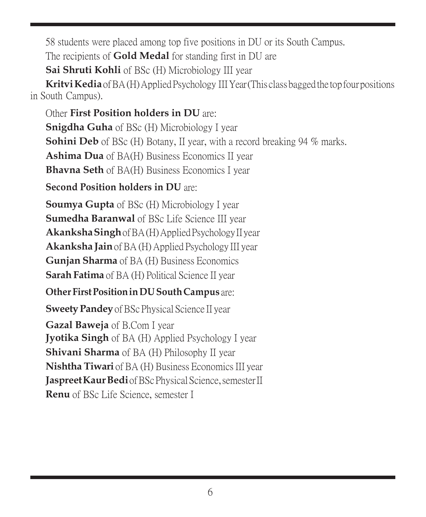58 students were placed among top five positions in DU or its South Campus.

The recipients of **Gold Medal** for standing first in DU are

**Sai Shruti Kohli** of BSc (H) Microbiology III year

**Kritvi Kedia** of BA(H)Applied Psychology III Year(This class bagged the top four positions in South Campus).

## Other **First Position holders in DU** are:

**Snigdha Guha** of BSc (H) Microbiology I year **Sohini Deb** of BSc (H) Botany, II year, with a record breaking 94 % marks. **Ashima Dua** of BA(H) Business Economics II year **Bhavna Seth** of BA(H) Business Economics I year

## **Second Position holders in DU** are:

**Soumya Gupta** of BSc (H) Microbiology I year **Sumedha Baranwal** of BSc Life Science III year **AkankshaSingh**ofBA(H)AppliedPsychologyIIyear **Akanksha Jain** of BA(H) Applied Psychology III year **Gunjan Sharma** of BA (H) Business Economics **Sarah Fatima** of BA (H) Political Science II year

**Other FirstPositioninDUSouthCampus** are:

**Sweety Pandey** of BSc Physical Science II year **Gazal Baweja** of B.Com I year **Jyotika Singh** of BA (H) Applied Psychology I year **Shivani Sharma** of BA (H) Philosophy II year **Nishtha Tiwari** of BA (H) Business Economics III year **Jaspreet Kaur Bedi** of BSc Physical Science, semester II **Renu** of BSc Life Science, semester I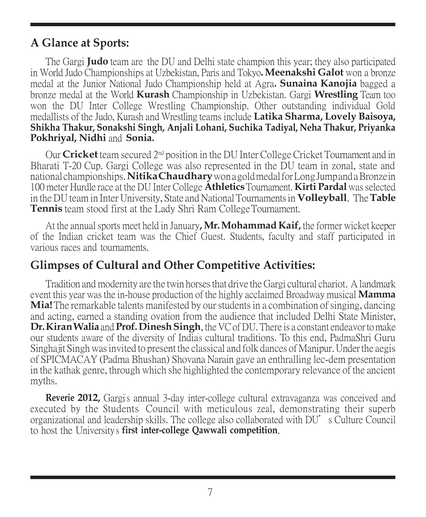## **A Glance at Sports:**

The Gargi **Judo** team are the DU and Delhi state champion this year; they also participated in World Judo Championships at Uzbekistan, Paris and Tokyo**.Meenakshi Galot** won a bronze medal at the Junior National Judo Championship held at Agra**. Sunaina Kanojia** bagged a bronze medal at the World **Kurash** Championship in Uzbekistan. Gargi **Wrestling** Team too won the DU Inter College Wrestling Championship. Other outstanding individual Gold medallists of the Judo, Kurash and Wrestling teams include **Latika Sharma, Lovely Baisoya, Shikha Thakur, Sonakshi Singh, Anjali Lohani, Suchika Tadiyal, Neha Thakur, Priyanka Pokhriyal, Nidhi** and **Sonia.**

Our **Cricket** team secured 2<sup>nd</sup> position in the DU Inter College Cricket Tournament and in Bharati T-20 Cup. Gargi College was also represented in the DU team in zonal, state and national championships.**NitikaChaudhary**wonagoldmedalforLongJumpandaBronzein 100 meter Hurdle race at the DU Inter College **Athletics**Tournament. **Kirti Pardal**was selected in the DU team in Inter University, State and National Tournaments in **Volleyball**. The Table **Tennis** team stood first at the Lady Shri Ram CollegeTournament.

At the annual sports meet held in January, Mr. Mohammad Kaif, the former wicket keeper of the Indian cricket team was the Chief Guest. Students, faculty and staff participated in various races and tournaments.

## **Glimpses of Cultural and Other Competitive Activities:**

Tradition and modernity are the twin horsesthat drive theGargi cultural chariot. Alandmark event this year was the in-house production of the highly acclaimed Broadway musical **Mamma Mia!** The remarkable talents manifested by our students in a combination of singing, dancing and acting, earned a standing ovation from the audience that included Delhi State Minister, **Dr. Kiran Walia** and **Prof. Dinesh Singh**, the VC of DU. There is a constant endeavor to make our students aware of the diversity of India's cultural traditions. To this end, PadmaShri Guru Singhajt Singh was invited to present the classical and folk dances of Manipur. Under the aegis of SPICMACAY (Padma Bhushan) Shovana Narain gave an enthralling lec-dem presentation in the kathak genre, through which she highlighted the contemporary relevance of the ancient myths.

**Reverie 2012,** Gargi's annual 3-day inter-college cultural extravaganza was conceived and executed by the Students' Council with meticulous zeal, demonstrating their superb organizational and leadership skills. The college also collaborated with DU's Culture Council to host the University's **first inter-college Qawwali competition**.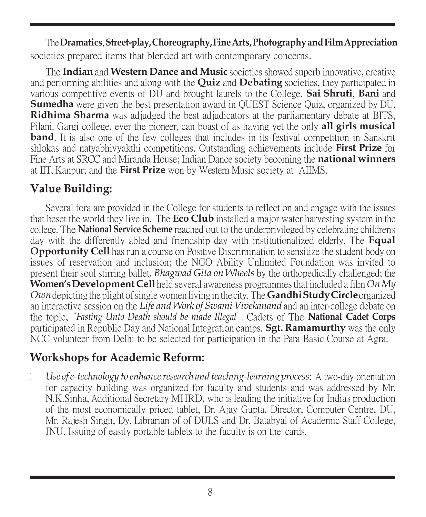The**Dramatics**,**Street-play,Choreography,FineArts,PhotographyandFilmAppreciation** societies prepared items that blended art with contemporary concerns.

The **Indian** and **Western Dance and Music** societies showed superb innovative, creative and performing abilities and along with the **Quiz** and **Debating** societies, they participated in various competitive events of DU and brought laurels to the College. **Sai Shruti**, **Bani** and **Sumedha** were given the best presentation award in QUEST Science Quiz, organized by DU. **Ridhima Sharma** was adjudged the best adjudicators at the parliamentary debate at BITS, Pilani. Gargi college, ever the pioneer, can boast of as having yet the only **all girls musical band**. It is also one of the few colleges that includes in its festival competition in Sanskrit shlokas and natyabhivyakthi competitions. Outstanding achievements include **First Prize** for Fine Arts at SRCC and Miranda House; Indian Dance society becoming the **national winners**  at IIT, Kanpur; and the **First Prize** won by Western Music society at AIIMS.

## **Value Building:**

Several fora are provided in the College for students to reflect on and engage with the issues that beset the world they live in. The **Eco Club** installed a major water harvesting system in the college. The **National Service Scheme** reached out to the underprivileged by celebrating children's day with the differently abled and friendship day with institutionalized elderly. The **Equal Opportunity Cell** has run a course on Positive Discrimination to sensitize the student body on issues of reservation and inclusion; the NGO Ability Unlimited Foundation was invited to present their soul stirring ballet*, Bhagwad Gita onWheels* by the orthopedically challenged; the **Women"sDevelopmentCell** held several awareness programmesthat included a film*OnMy Own* depicting the plight of single women living in the city. The **Gandhi Study Circle** organized an interactive session on the *Life andWork of SwamiVivekanand* and an inter-college debate on the topic, '*Fasting Unto Death should be made Illegal*'. Cadets of The **National Cadet Corps**  participated in Republic Day and National Integration camps. **Sgt. Ramamurthy** was the only NCC volunteer from Delhi to be selected for participation in the Para Basic Course at Agra.

## **Workshops for Academic Reform:**

*1. Use ofe-technology to enhanceresearch and teaching-learning process*: A two-day orientation for capacity building was organized for faculty and students and was addressed by Mr. N.K.Sinha, Additional Secretary MHRD, who is leading the initiative for India's production of the most economically priced tablet, Dr. Ajay Gupta, Director, Computer Centre, DU, Mr. Rajesh Singh, Dy. Librarian of of DULS and Dr. Batabyal of Academic Staff College, JNU. Issuing of easily portable tablets to the faculty is on the cards.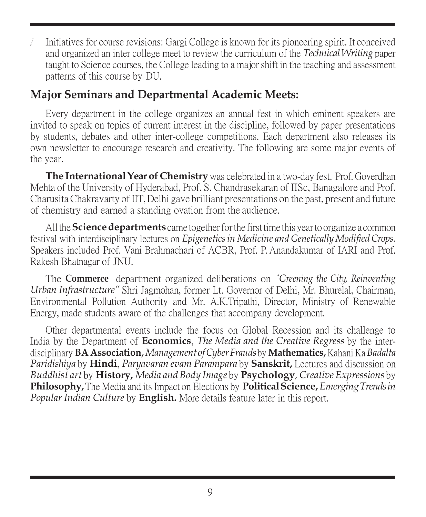2. Initiatives for course revisions: Gargi College is known for its pioneering spirit. It conceived and organized an inter college meet to review the curriculum of the *TechnicalWriting* paper taught to Science courses, the College leading to a major shift in the teaching and assessment patterns of this course by DU.

## **Major Seminars and Departmental Academic Meets:**

Every department in the college organizes an annual fest in which eminent speakers are invited to speak on topics of current interest in the discipline, followed by paper presentations by students, debates and other inter-college competitions. Each department also releases its own newsletter to encourage research and creativity. The following are some major events of the year.

**The International Year of Chemistry** was celebrated in a two-day fest. Prof. Goverdhan Mehta of the University of Hyderabad, Prof. S. Chandrasekaran of IISc, Banagalore and Prof. Charusita Chakravarty of IIT,Delhi gave brilliant presentations on the past, present and future of chemistry and earned a standing ovation from the audience.

All the**Sciencedepartments** came togetherforthe first time this yearto organize a common festival with interdisciplinary lectures on *Epigeneticsin Medicine and Genetically ModifiedCrops.*  Speakers included Prof. Vani Brahmachari of ACBR, Prof. P. Anandakumar of IARI and Prof. Rakesh Bhatnagar of JNU.

The **Commerce** department organized deliberations on '*Greening the City, Reinventing Urban Infrastructure"* Shri Jagmohan, former Lt. Governor of Delhi, Mr. Bhurelal, Chairman, Environmental Pollution Authority and Mr. A.K.Tripathi, Director, Ministry of Renewable Energy, made students aware of the challenges that accompany development.

Other departmental events include the focus on Global Recession and its challenge to India by the Department of **Economics**, *The Media and the Creative Regress* by the interdisciplinary **BA Association,** *Management ofCyberFrauds* by **Mathematics,**KahaniKa *Badalta Paridishiya* by **Hindi**, *Paryavaran evam Parampara* by **Sanskrit,** Lectures and discussion on *Buddhist art* by **History,** *Media and Body Image* by **Psychology***, Creative Expressions* by **Philosophy,**The Media and its Impact on Elections by **PoliticalScience,***EmergingTrendsin Popular Indian Culture* by **English.** More details feature later in this report.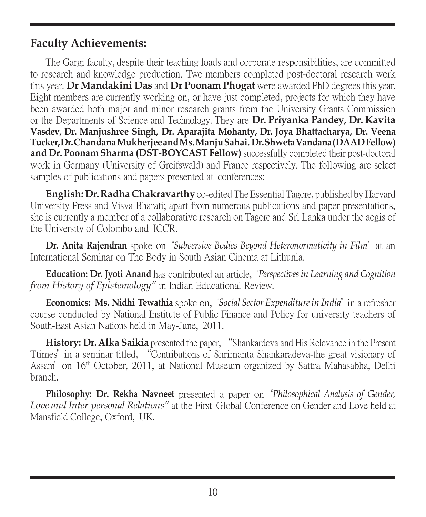## **Faculty Achievements:**

The Gargi faculty, despite their teaching loads and corporate responsibilities, are committed to research and knowledge production. Two members completed post-doctoral research work this year. **Dr Mandakini Das** and **Dr Poonam Phogat** were awarded PhD degrees this year. Eight members are currently working on, or have just completed, projects for which they have been awarded both major and minor research grants from the University Grants Commission or the Departments of Science and Technology. They are **Dr. Priyanka Pandey, Dr. Kavita Vasdev, Dr. Manjushree Singh, Dr. Aparajita Mohanty, Dr. Joya Bhattacharya, Dr. Veena Tucker,Dr.ChandanaMukherjeeandMs.ManjuSahai. Dr.ShwetaVandana(DAADFellow) and Dr. Poonam Sharma (DST-BOYCAST Fellow)** successfully completed their post-doctoral work in Germany (University of Greifswald) and France respectively. The following are select samples of publications and papers presented at conferences:

**English: Dr. Radha Chakravarthy** co-edited The Essential Tagore, published by Harvard University Press and Visva Bharati; apart from numerous publications and paper presentations, she is currently a member of a collaborative research on Tagore and Sri Lanka under the aegis of the University of Colombo and ICCR.

**Dr. Anita Rajendran** spoke on '*Subversive Bodies Beyond Heteronormativity in Film*' at an International Seminar on The Body in South Asian Cinema at Lithunia.

**Education: Dr. Jyoti Anand** has contributed an article, '*Perspectives in Learning and Cognition from History of Epistemology"* in Indian Educational Review.

**Economics: Ms. Nidhi Tewathia** spoke on, '*Social Sector Expenditurein India*' in a refresher course conducted by National Institute of Public Finance and Policy for university teachers of South-East Asian Nations held in May-June, 2011.

**History: Dr. Alka Saikia** presented the paper, 'Shankardeva and His Relevance in the Present Ttimes' in a seminar titled, 'Contributions of Shrimanta Shankaradeva-the great visionary of Assam<sup>"</sup> on 16<sup>th</sup> October, 2011, at National Museum organized by Sattra Mahasabha, Delhi branch.

**Philosophy: Dr. Rekha Navneet** presented a paper on '*Philosophical Analysis of Gender, Love and Inter-personal Relations"* at the First Global Conference on Gender and Love held at Mansfield College, Oxford, UK.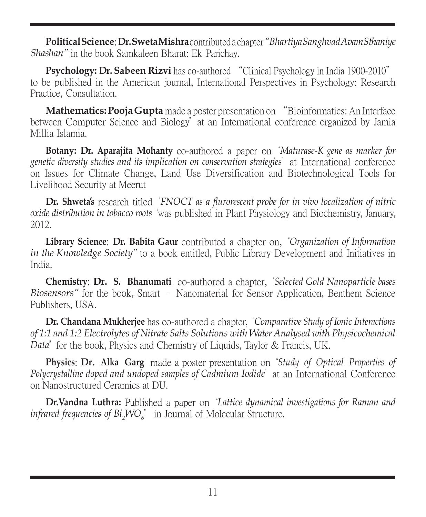**PoliticalScience**:**Dr.SwetaMishra**contributeda chapter*"BhartiyaSanghvadAvamSthaniye Shashan"* in the book Samkaleen Bharat: Ek Parichay.

**Psychology: Dr. Sabeen Rizvi** has co-authored 'Clinical Psychology in India 1900-2010' to be published in the American journal, International Perspectives in Psychology: Research Practice, Consultation.

**Mathematics: Pooja Gupta** made a poster presentation on "Bioinformatics: An Interface" between Computer Science and Biology' at an International conference organized by Jamia Millia Islamia.

**Botany: Dr. Aparajita Mohanty** co-authored a paper on '*Maturase-K gene as marker for genetic diversity studies and its implication on conservation strategies*' at International conference on Issues for Climate Change, Land Use Diversification and Biotechnological Tools for Livelihood Security at Meerut

**Dr. Shweta"s** research titled '*FNOCT as a flurorescent probe for in vivo localization of nitric oxide distribution in tobacco roots* 'was published in Plant Physiology and Biochemistry, January, 2012.

**Library Science**: **Dr. Babita Gaur** contributed a chapter on, '*Organization of Information in the Knowledge Society"* to a book entitled, Public Library Development and Initiatives in India.

**Chemistry**: **Dr. S. Bhanumati** co-authored a chapter, '*Selected Gold Nanoparticle bases Biosensors"* for the book, Smart – Nanomaterial for Sensor Application, Benthem Science Publishers, USA.

**Dr. Chandana Mukherjee** has co-authored a chapter, '*Comparative Study of Ionic Interactions of 1:1 and 1:2 Electrolytes of Nitrate Salts Solutions with Water Analysed with Physicochemical Data*' for the book, Physics and Chemistry of Liquids, Taylor & Francis, UK.

**Physics**: **Dr. Alka Garg** made a poster presentation on '*Study of Optical Properties of Polycrystalline doped and undoped samples of Cadmium Iodide*' at an International Conference on Nanostructured Ceramics at DU.

**Dr.Vandna Luthra:** Published a paper on '*Lattice dynamical investigations for Raman and infrared frequencies of Bi <sup>2</sup>WO6*' in Journal of Molecular Structure.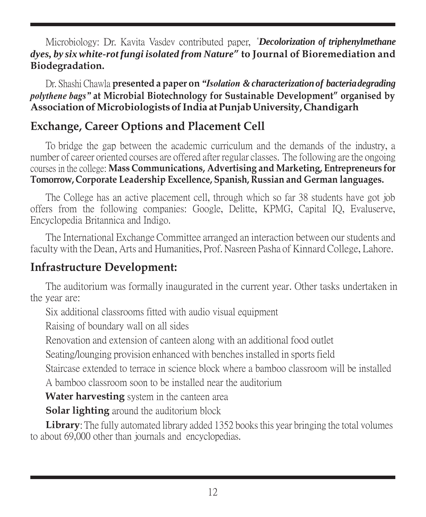#### Microbiology: Dr. Kavita Vasdev contributed paper, '*Decolorization of triphenylmethane dyes, by six white-rot fungi isolated from Nature***" to Journal of Bioremediation and Biodegradation.**

Dr. Shashi Chawla **presented a paper on** *"Isolation &characterizationof bacteriadegrading polythene bags"* **at Microbial Biotechnology for Sustainable Development" organised by AssociationofMicrobiologists ofIndia atPunjabUniversity,Chandigarh**

## **Exchange, Career Options and Placement Cell**

To bridge the gap between the academic curriculum and the demands of the industry, a number of career oriented courses are offered after regular classes. The following are the ongoing courses in the college: **Mass Communications, Advertising and Marketing, Entrepreneurs for Tomorrow, Corporate Leadership Excellence, Spanish, Russian and German languages.**

The College has an active placement cell, through which so far 38 students have got job offers from the following companies: Google, Delitte, KPMG, Capital IQ, Evaluserve, Encyclopedia Britannica and Indigo.

The International Exchange Committee arranged an interaction between our students and faculty with the Dean, Arts and Humanities, Prof. Nasreen Pasha of Kinnard College, Lahore.

## **Infrastructure Development:**

The auditorium was formally inaugurated in the current year. Other tasks undertaken in the year are:

Six additional classrooms fitted with audio visual equipment

Raising of boundary wall on all sides

Renovation and extension of canteen along with an additional food outlet

Seating/lounging provision enhanced with benches installed in sports field

Staircase extended to terrace in science block where a bamboo classroom will be installed A bamboo classroom soon to be installed near the auditorium

**Water harvesting** system in the canteen area

**Solar lighting** around the auditorium block

Library: The fully automated library added 1352 books this year bringing the total volumes to about 69,000 other than journals and encyclopedias.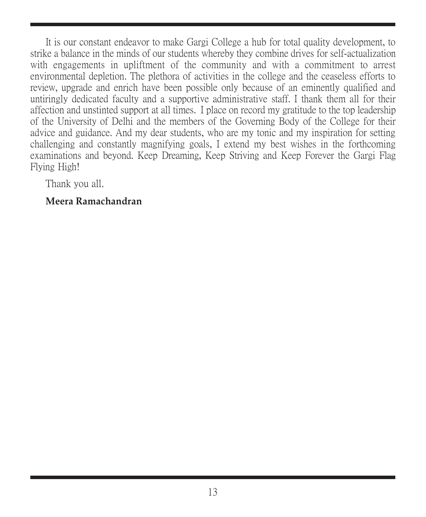It is our constant endeavor to make Gargi College a hub for total quality development, to strike a balance in the minds of our students whereby they combine drives for self-actualization with engagements in upliftment of the community and with a commitment to arrest environmental depletion. The plethora of activities in the college and the ceaseless efforts to review, upgrade and enrich have been possible only because of an eminently qualified and untiringly dedicated faculty and a supportive administrative staff. I thank them all for their affection and unstinted support at all times. I place on record my gratitude to the top leadership of the University of Delhi and the members of the Governing Body of the College for their advice and guidance. And my dear students, who are my tonic and my inspiration for setting challenging and constantly magnifying goals, I extend my best wishes in the forthcoming examinations and beyond. Keep Dreaming, Keep Striving and Keep Forever the Gargi Flag Flying High!

Thank you all.

#### **Meera Ramachandran**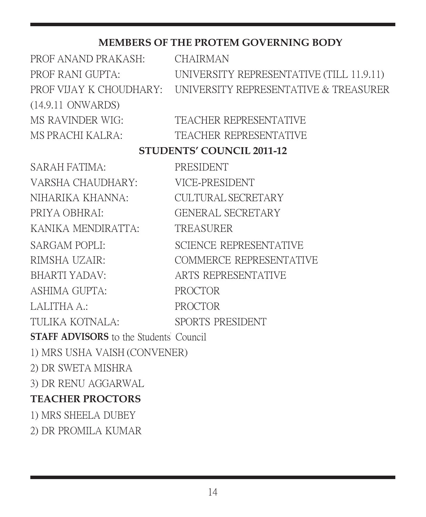#### **MEMBERS OF THE PROTEM GOVERNING BODY**

PROF ANAND PRAKASH: CHAIRMAN (14.9.11 ONWARDS)

PROF RANI GUPTA: UNIVERSITY REPRESENTATIVE (TILL 11.9.11) PROF VIJAY K CHOUDHARY: UNIVERSITY REPRESENTATIVE & TREASURER

MS RAVINDER WIG: TEACHER REPRESENTATIVE MS PRACHI KALRA: TEACHER REPRESENTATIVE **STUDENTS" COUNCIL 2011-12**

SARAH FATIMA: PRESIDENT VARSHA CHAUDHARY: VICE-PRESIDENT NIHARIKA KHANNA: CULTURAL SECRETARY PRIYA OBHRAI: GENERAL SECRETARY KANIKA MENDIRATTA: TREASURER SARGAM POPLI: SCIENCE REPRESENTATIVE RIMSHA UZAIR: COMMERCE REPRESENTATIVE BHARTI YADAV: ARTS REPRESENTATIVE ASHIMA GUPTA: PROCTOR LALITHA A.: PROCTOR TULIKA KOTNALA: SPORTS PRESIDENT **STAFF ADVISORS** to the Students' Council 1) MRS USHA VAISH (CONVENER) 2) DR SWETA MISHRA

3) DR RENU AGGARWAL

## **TEACHER PROCTORS**

1) MRS SHEELA DUBEY

2) DR PROMILA KUMAR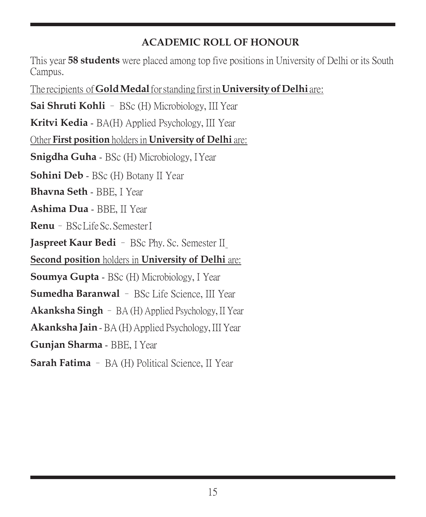## **ACADEMIC ROLL OF HONOUR**

This year **58 students** were placed among top five positions in University of Delhi or its South Campus.

The recipients of**GoldMedal**forstanding firstin**UniversityofDelhi** are:

**Sai Shruti Kohli** – BSc (H) Microbiology, III Year

**Kritvi Kedia** - BA(H) Applied Psychology, III Year

Other **First position** holdersin **University of Delhi** are:

**Snigdha Guha** - BSc (H) Microbiology, IYear

**Sohini Deb** - BSc (H) Botany II Year

**Bhavna Seth** - BBE, I Year

**Ashima Dua** - BBE, II Year

**Renu**–BScLifeSc.SemesterI

**Jaspreet Kaur Bedi** – BSc Phy. Sc. Semester II

**Second position** holders in **University of Delhi** are:

**Soumya Gupta** - BSc (H) Microbiology, I Year

**Sumedha Baranwal** – BSc Life Science, III Year

**Akanksha Singh** – BA (H) Applied Psychology, II Year

**Akanksha Jain** - BA(H) Applied Psychology, III Year

**Gunjan Sharma** - BBE, I Year

**Sarah Fatima** – BA (H) Political Science, II Year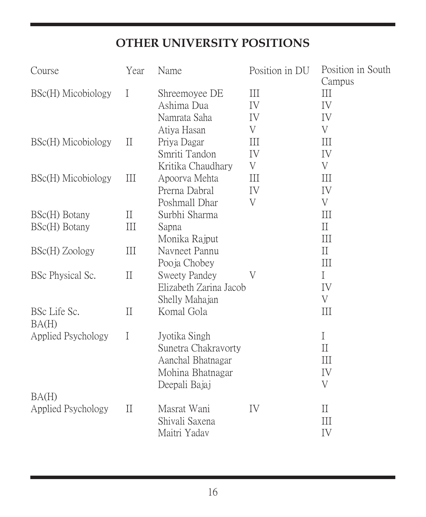## **OTHER UNIVERSITY POSITIONS**

| Course             | Year                             | Name                        | Position in DU     | Position in South<br>Campus |
|--------------------|----------------------------------|-----------------------------|--------------------|-----------------------------|
| BSc(H) Micobiology | $\bf{I}$                         | Shreemoyee DE<br>Ashima Dua | $\mathop{\rm III}$ | $\mathop{\rm III}$<br>IV    |
|                    |                                  | Namrata Saha                | IV                 |                             |
|                    |                                  |                             | IV                 | IV                          |
|                    |                                  | Atiya Hasan                 | V                  | V                           |
| BSc(H) Micobiology | $\prod$                          | Priya Dagar                 | Ш                  | $\mathop{\rm III}$          |
|                    |                                  | Smriti Tandon               | IV                 | IV                          |
|                    |                                  | Kritika Chaudhary           | V                  | V                           |
| BSc(H) Micobiology | Ш                                | Apoorva Mehta               | III                | III                         |
|                    |                                  | Prerna Dabral               | IV                 | IV                          |
|                    |                                  | Poshmall Dhar               | V                  | V                           |
| BSc(H) Botany      | $\mathbf{I}$                     | Surbhi Sharma               |                    | III                         |
| BSc(H) Botany      | Ш                                | Sapna                       |                    | $\prod$                     |
|                    |                                  | Monika Rajput               |                    | III                         |
| BSc(H) Zoology     | $\mathop{\mathrm{III}}\nolimits$ | Navneet Pannu               |                    | $\prod$                     |
|                    |                                  | Pooja Chobey                |                    | $\mathop{\rm III}$          |
| BSc Physical Sc.   | $\rm II$                         | <b>Sweety Pandey</b>        | V                  | $\bf{I}$                    |
|                    |                                  | Elizabeth Zarina Jacob      |                    | IV                          |
|                    |                                  | Shelly Mahajan              |                    | V                           |
| BSc Life Sc.       | $\rm II$                         | Komal Gola                  |                    | III                         |
| BA(H)              |                                  |                             |                    |                             |
| Applied Psychology | $\mathbf I$                      | Jyotika Singh               |                    | $\mathbf I$                 |
|                    |                                  | Sunetra Chakravorty         |                    | $\prod$                     |
|                    |                                  |                             |                    | Ш                           |
|                    |                                  | Aanchal Bhatnagar           |                    |                             |
|                    |                                  | Mohina Bhatnagar            |                    | IV                          |
|                    |                                  | Deepali Bajaj               |                    | $\rm V$                     |
| BA(H)              |                                  |                             |                    |                             |
| Applied Psychology | $\mathcal{I}$                    | Masrat Wani                 | IV                 | $\prod$                     |
|                    |                                  | Shivali Saxena              |                    | III                         |
|                    |                                  | Maitri Yadav                |                    | IV                          |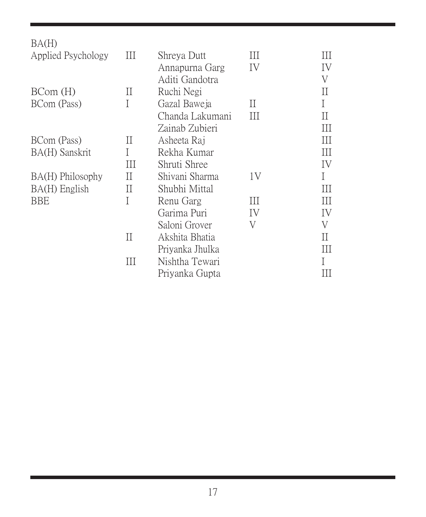| BA(H)              |          |                 |           |    |
|--------------------|----------|-----------------|-----------|----|
| Applied Psychology | Ш        | Shreya Dutt     | Ш         | Ш  |
|                    |          | Annapurna Garg  | IV        | IV |
|                    |          | Aditi Gandotra  |           | V  |
| BCom(H)            | $\rm II$ | Ruchi Negi      |           | П  |
| BCom (Pass)        | Ι        | Gazal Baweja    | $\rm{II}$ | Ι  |
|                    |          | Chanda Lakumani | Ш         | П  |
|                    |          | Zainab Zubieri  |           | Ш  |
| BCom (Pass)        | П        | Asheeta Raj     |           | Ш  |
| BA(H) Sanskrit     | Ι        | Rekha Kumar     |           | Ш  |
|                    | Ш        | Shruti Shree    |           | IV |
| BA(H) Philosophy   | $\rm II$ | Shivani Sharma  | 1V        | I  |
| BA(H) English      | П        | Shubhi Mittal   |           | Ш  |
| <b>BBE</b>         | I        | Renu Garg       | Ш         | Ш  |
|                    |          | Garima Puri     | IV        | IV |
|                    |          | Saloni Grover   | V         | V  |
|                    | П        | Akshita Bhatia  |           | П  |
|                    |          | Priyanka Jhulka |           | Ш  |
|                    | Ш        | Nishtha Tewari  |           |    |
|                    |          | Priyanka Gupta  |           | Ш  |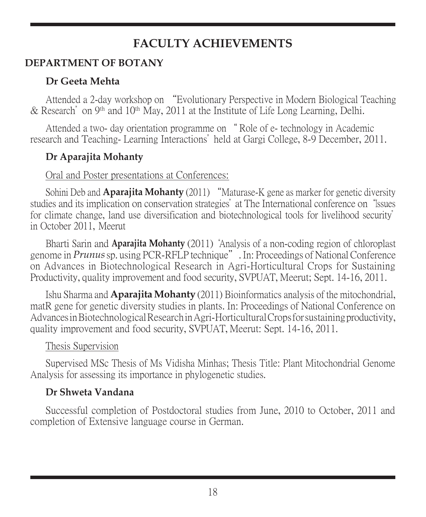## **FACULTY ACHIEVEMENTS**

## **DEPARTMENT OF BOTANY**

## **Dr Geeta Mehta**

Attended a 2-day workshop on 'Evolutionary Perspective in Modern Biological Teaching & Research<sup>"</sup> on  $9<sup>th</sup>$  and  $10<sup>th</sup>$  May, 2011 at the Institute of Life Long Learning, Delhi.

Attended a two- day orientation programme on ' Role of e- technology in Academic research and Teaching- Learning Interactions' held at Gargi College, 8-9 December, 2011.

## **Dr Aparajita Mohanty**

## Oral and Poster presentations at Conferences:

Sohini Deb and **Aparajita Mohanty** (2011) 'Maturase-K gene as marker for genetic diversity studies and its implication on conservation strategies' at The International conference on 'Issues for climate change, land use diversification and biotechnological tools for livelihood security' in October 2011, Meerut

Bharti Sarin and **Aparajita Mohanty** (2011) 'Analysis of a non-coding region of chloroplast genome in *Prunus*sp. using PCR-RFLP technique'. In: Proceedings of National Conference on Advances in Biotechnological Research in Agri-Horticultural Crops for Sustaining Productivity, quality improvement and food security, SVPUAT, Meerut; Sept. 14-16, 2011.

Ishu Sharma and **AparajitaMohanty** (2011) Bioinformatics analysis of the mitochondrial, matR gene for genetic diversity studies in plants. In: Proceedings of National Conference on Advances in Biotechnological Research in Agri-Horticultural Crops for sustaining productivity, quality improvement and food security, SVPUAT, Meerut: Sept. 14-16, 2011.

## Thesis Supervision

Supervised MSc Thesis of Ms Vidisha Minhas; Thesis Title: Plant Mitochondrial Genome Analysis for assessing its importance in phylogenetic studies.

## **Dr Shweta Vandana**

Successful completion of Postdoctoral studies from June, 2010 to October, 2011 and completion of Extensive language course in German.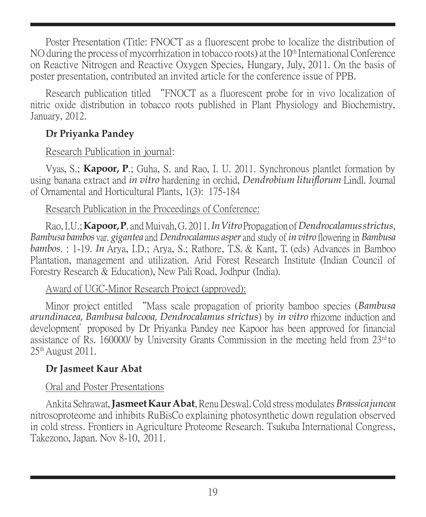Poster Presentation (Title: FNOCT as a fluorescent probe to localize the distribution of NO during the process of mycorrhization in tobacco roots) at the 10<sup>th</sup> International Conference on Reactive Nitrogen and Reactive Oxygen Species, Hungary, July, 2011. On the basis of poster presentation, contributed an invited article for the conference issue of PPB.

Research publication titled 'FNOCT as a fluorescent probe for in vivo localization of nitric oxide distribution in tobacco roots published in Plant Physiology and Biochemistry, January, 2012.

## **Dr Priyanka Pandey**

#### Research Publication in journal:

Vyas, S.; **Kapoor, P**.; Guha, S. and Rao, I. U. 2011. Synchronous plantlet formation by using banana extract and *in vitro* hardening in orchid, *Dendrobium lituiflorum* Lindl. Journal of Ornamental and Horticultural Plants, 1(3): 175-184

#### Research Publication in the Proceedings of Conference:

Rao,I.U.;**Kapoor,P**. and Muivah,G. 2011.*InVitro*Propagation of*Dendrocalamusstrictus*, *Bambusa bambos* var. *gigantea* and *Dendrocalamus asper* and study of *in vitro* flowering in *Bambusa bambos*. : 1-19. *In* Arya, I.D.; Arya, S.; Rathore, T.S. & Kant, T. (eds) Advances in Bamboo Plantation, management and utilization. Arid Forest Research Institute (Indian Council of Forestry Research & Education), New Pali Road, Jodhpur (India).

## Award of UGC-Minor Research Project (approved):

Minor project entitled 'Mass scale propagation of priority bamboo species (*Bambusa arundinacea, Bambusa balcooa, Dendrocalamus strictus*) by *in vitro* rhizome induction and development' proposed by Dr Priyanka Pandey nee Kapoor has been approved for financial assistance of Rs. 160000/ by University Grants Commission in the meeting held from  $23<sup>rd</sup>$  to  $25<sup>th</sup>$  August 2011.

## **Dr Jasmeet Kaur Abat**

## Oral and Poster Presentations

Ankita Sehrawat,**JasmeetKaurAbat**,RenuDeswal.Cold stress modulates *Brassicajuncea*  nitrosoproteome and inhibits RuBisCo explaining photosynthetic down regulation observed in cold stress. Frontiers in Agriculture Proteome Research. Tsukuba International Congress, Takezono, Japan. Nov 8-10, 2011.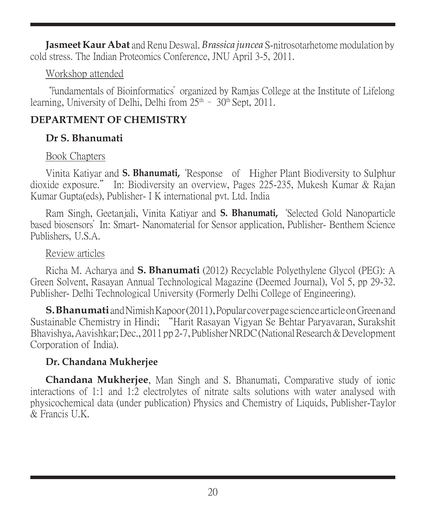**Jasmeet Kaur Abat** and Renu Deswal. *Brassica juncea* S-nitrosotarhetome modulation by cold stress. The Indian Proteomics Conference, JNU April 3-5, 2011.

#### Workshop attended

'Fundamentals of Bioinformatics' organized by Ramjas College at the Institute of Lifelong learning, University of Delhi, Delhi from  $25<sup>th</sup>$  –  $30<sup>th</sup>$  Sept, 2011.

## **DEPARTMENT OF CHEMISTRY**

## **Dr S. Bhanumati**

## Book Chapters

Vinita Katiyar and **S. Bhanumati,** 'Response of Higher Plant Biodiversity to Sulphur dioxide exposure.' In: Biodiversity an overview, Pages 225-235, Mukesh Kumar & Rajan Kumar Gupta(eds), Publisher- I K international pvt. Ltd. India

Ram Singh, Geetanjali, Vinita Katiyar and **S. Bhanumati,** 'Selected Gold Nanoparticle based biosensors' In: Smart- Nanomaterial for Sensor application, Publisher- Benthem Science Publishers, U.S.A.

## Review articles

Richa M. Acharya and **S. Bhanumati** (2012) Recyclable Polyethylene Glycol (PEG): A Green Solvent, Rasayan Annual Technological Magazine (Deemed Journal), Vol 5, pp 29-32. Publisher- Delhi Technological University (Formerly Delhi College of Engineering).

**S. Bhanumati** and Nimish Kapoor (2011), Popular cover page science article on Green and Sustainable Chemistry in Hindi; 'Harit Rasayan Vigyan Se Behtar Paryavaran, Surakshit Bhavishya, Aavishkar; Dec., 2011 pp 2-7, Publisher NRDC (National Research & Development Corporation of India).

## **Dr. Chandana Mukherjee**

**Chandana Mukherjee**, Man Singh and S. Bhanumati, Comparative study of ionic interactions of 1:1 and 1:2 electrolytes of nitrate salts solutions with water analysed with physicochemical data (under publication) Physics and Chemistry of Liquids, Publisher-Taylor & Francis U.K.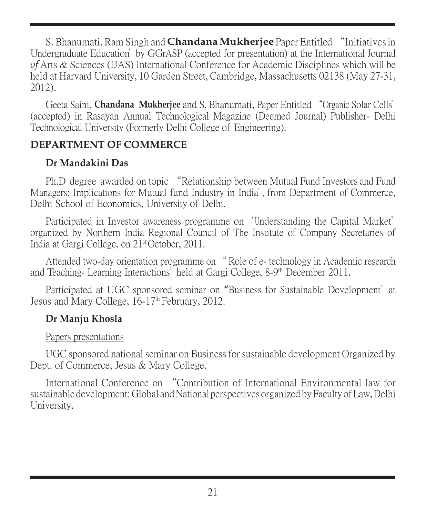S. Bhanumati, Ram Singh and **ChandanaMukherjee** Paper Entitled 'Initiativesin Undergraduate Education' by GGrASP (accepted for presentation) at the International Journal *of* Arts & Sciences (IJAS) International Conference for Academic Disciplines which will be held at Harvard University, 10 Garden Street, Cambridge, Massachusetts 02138 (May 27-31, 2012).

Geeta Saini, **Chandana Mukherjee** and S. Bhanumati, Paper Entitled 'Organic Solar Cells' (accepted) in Rasayan Annual Technological Magazine (Deemed Journal) Publisher- Delhi Technological University (Formerly Delhi College of Engineering).

#### **DEPARTMENT OF COMMERCE**

## **Dr Mandakini Das**

Ph.D degree awarded on topic 'Relationship between Mutual Fund Investors and Fund Managers: Implications for Mutual fund Industry in India', from Department of Commerce, Delhi School of Economics, University of Delhi.

Participated in Investor awareness programme on 'Understanding the Capital Market' organized by Northern India Regional Council of The Institute of Company Secretaries of India at Gargi College, on 21st October, 2011.

Attended two-day orientation programme on ' Role of e- technology in Academic research and Teaching- Learning Interactions<sup>"</sup> held at Gargi College, 8-9<sup>th</sup> December 2011.

Participated at UGC sponsored seminar on **"**Business for Sustainable Development' at Jesus and Mary College, 16-17<sup>th</sup> February, 2012.

## **Dr Manju Khosla**

#### Papers presentations

UGC sponsored national seminar on Business for sustainable development Organized by Dept. of Commerce, Jesus & Mary College.

International Conference on 'Contribution of International Environmental law for sustainable development: Global and National perspectives organized by Faculty of Law, Delhi University.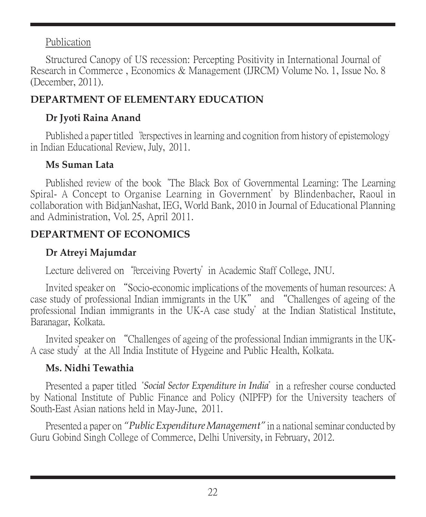#### Publication

Structured Canopy of US recession: Percepting Positivity in International Journal of Research in Commerce , Economics & Management (IJRCM) Volume No. 1, Issue No. 8 (December, 2011).

## **DEPARTMENT OF ELEMENTARY EDUCATION**

## **Dr Jyoti Raina Anand**

Published a paper titled 'Perspectives in learning and cognition from history of epistemology' in Indian Educational Review, July, 2011.

## **Ms Suman Lata**

Published review of the book 'The Black Box of Governmental Learning: The Learning Spiral- A Concept to Organise Learning in Government' by Blindenbacher, Raoul in collaboration with BidjanNashat, IEG, World Bank, 2010 in Journal of Educational Planning and Administration, Vol. 25, April 2011.

## **DEPARTMENT OF ECONOMICS**

## **Dr Atreyi Majumdar**

Lecture delivered on 'Perceiving Poverty' in Academic Staff College, JNU.

Invited speaker on 'Socio-economic implications of the movements of human resources: A case study of professional Indian immigrants in the UK' and 'Challenges of ageing of the professional Indian immigrants in the UK-A case study' at the Indian Statistical Institute, Baranagar, Kolkata.

Invited speaker on 'Challenges of ageing of the professional Indian immigrants in the UK-A case study' at the All India Institute of Hygeine and Public Health, Kolkata.

## **Ms. Nidhi Tewathia**

Presented a paper titled '*Social Sector Expenditure in India*' in a refresher course conducted by National Institute of Public Finance and Policy (NIPFP) for the University teachers of South-East Asian nations held in May-June, 2011.

Presented a paper on "Public *Expenditure Management*" in a national seminar conducted by Guru Gobind Singh College of Commerce, Delhi University, in February, 2012.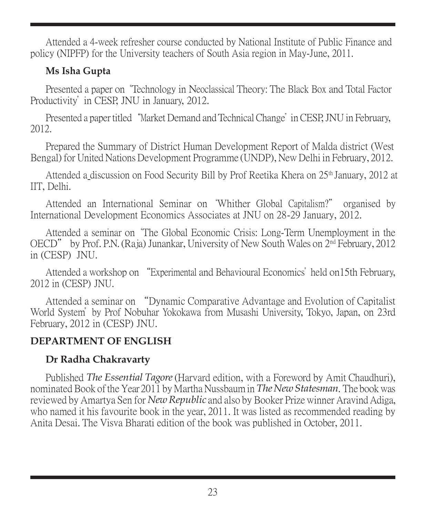Attended a 4-week refresher course conducted by National Institute of Public Finance and policy (NIPFP) for the University teachers of South Asia region in May-June, 2011.

## **Ms Isha Gupta**

Presented a paper on 'Technology in Neoclassical Theory: The Black Box and Total Factor Productivity' in CESP, JNU in January, 2012.

Presented a paper titled "Market Demand and Technical Change" in CESP, JNU in February, 2012.

Prepared the Summary of District Human Development Report of Malda district (West Bengal) for United Nations Development Programme (UNDP), New Delhi in February, 2012.

Attended a discussion on Food Security Bill by Prof Reetika Khera on 25th January, 2012 at IIT, Delhi.

Attended an International Seminar on 'Whither Global Capitalism?' organised by International Development Economics Associates at JNU on 28-29 January, 2012.

Attended a seminar on 'The Global Economic Crisis: Long-Term Unemployment in the OECD" by Prof. P.N. (Raja) Junankar, University of New South Wales on 2<sup>nd</sup> February, 2012 in (CESP) JNU.

Attended a workshop on 'Experimental and Behavioural Economics' held on15th February, 2012 in (CESP) JNU.

Attended a seminar on 'Dynamic Comparative Advantage and Evolution of Capitalist World System' by Prof Nobuhar Yokokawa from Musashi University, Tokyo, Japan, on 23rd February, 2012 in (CESP) JNU.

## **DEPARTMENT OF ENGLISH**

## **Dr Radha Chakravarty**

Published *The Essential Tagore*(Harvard edition, with a Foreword by Amit Chaudhuri), nominated Book of the Year 2011 by Martha Nussbaum in *The New Statesman*. The book was reviewed by Amartya Sen for *New Republic* and also by Booker Prize winner Aravind Adiga, who named it his favourite book in the year, 2011. It was listed as recommended reading by Anita Desai. The Visva Bharati edition of the book was published in October, 2011.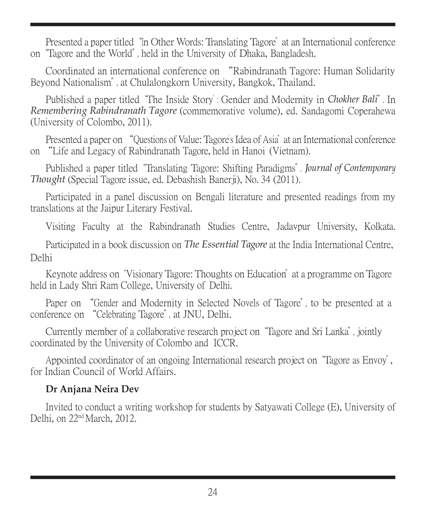Presented a paper titled 'In Other Words: Translating Tagore' at an International conference on 'Tagore and the World', held in the University of Dhaka, Bangladesh.

Coordinated an international conference on 'Rabindranath Tagore: Human Solidarity Beyond Nationalism', at Chulalongkorn University, Bangkok, Thailand.

Published a paper titled 'The Inside Story': Gender and Modernity in *Chokher Bali*'. In *Remembering Rabindranath Tagore* (commemorative volume), ed. Sandagomi Coperahewa (University of Colombo, 2011).

Presented a paper on 'Questions of Value: Tagore's Idea of Asia' at an International conference on 'Life and Legacy of Rabindranath Tagore, held in Hanoi (Vietnam).

Published a paper titled 'Translating Tagore: Shifting Paradigms'. *Journal of Contemporary Thought* (Special Tagore issue, ed. Debashish Banerii), No. 34 (2011).

Participated in a panel discussion on Bengali literature and presented readings from my translations at the Jaipur Literary Festival.

Visiting Faculty at the Rabindranath Studies Centre, Jadavpur University, Kolkata.

Participated in a book discussion on *The Essential Tagore* at the India International Centre, Delhi

Keynote address on 'Visionary Tagore: Thoughts on Education' at a programme on Tagore held in Lady Shri Ram College, University of Delhi.

Paper on 'Gender and Modernity in Selected Novels of Tagore', to be presented at a conference on 'Celebrating Tagore', at JNU, Delhi.

Currently member of a collaborative research project on 'Tagore and Sri Lanka', jointly coordinated by the University of Colombo and ICCR.

Appointed coordinator of an ongoing International research project on 'Tagore as Envoy', for Indian Council of World Affairs.

#### **Dr Anjana Neira Dev**

Invited to conduct a writing workshop for students by Satyawati College (E), University of Delhi, on 22nd March, 2012.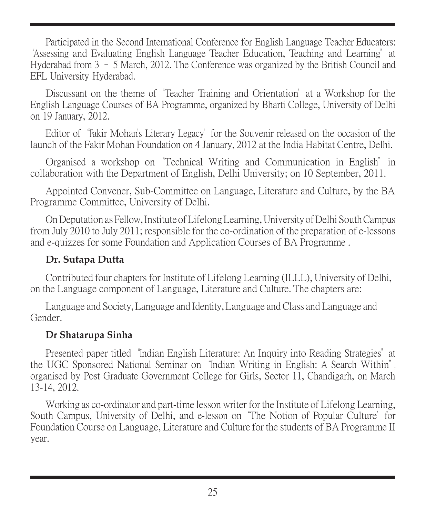Participated in the Second International Conference for English Language Teacher Educators: 'Assessing and Evaluating English Language Teacher Education, Teaching and Learning' at Hyderabad from 3 – 5 March, 2012. The Conference was organized by the British Council and EFL University Hyderabad.

Discussant on the theme of 'Teacher Training and Orientation' at a Workshop for the English Language Courses of BA Programme, organized by Bharti College, University of Delhi on 19 January, 2012.

Editor of 'Fakir Mohan's Literary Legacy' for the Souvenir released on the occasion of the launch of the Fakir Mohan Foundation on 4 January, 2012 at the India Habitat Centre, Delhi.

Organised a workshop on 'Technical Writing and Communication in English' in collaboration with the Department of English, Delhi University; on 10 September, 2011.

Appointed Convener, Sub-Committee on Language, Literature and Culture, by the BA Programme Committee, University of Delhi.

OnDeputation as Fellow,Institute ofLifelongLearning,UniversityofDelhi SouthCampus from July 2010 to July 2011; responsible for the co-ordination of the preparation of e-lessons and e-quizzes for some Foundation and Application Courses of BA Programme .

#### **Dr. Sutapa Dutta**

Contributed four chapters for Institute of Lifelong Learning (ILLL), University of Delhi, on the Language component of Language, Literature and Culture. The chapters are:

Language and Society,Language and Identity,Language and Class and Language and Gender.

#### **Dr Shatarupa Sinha**

Presented paper titled 'Indian English Literature: An Inquiry into Reading Strategies' at the UGC Sponsored National Seminar on 'Indian Writing in English: A Search Within', organised by Post Graduate Government College for Girls, Sector 11, Chandigarh, on March 13-14, 2012.

Working as co-ordinator and part-time lesson writer for the Institute of Lifelong Learning, South Campus, University of Delhi, and e-lesson on 'The Notion of Popular Culture' for Foundation Course on Language, Literature and Culture for the students of BA Programme II year.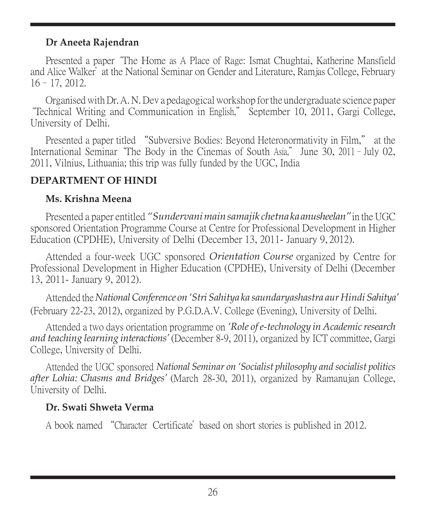#### **Dr Aneeta Rajendran**

Presented a paper 'The Home as A Place of Rage: Ismat Chughtai, Katherine Mansfield and Alice Walker' at the National Seminar on Gender and Literature, Ramjas College, February 16–17, 2012.

Organised with Dr. A. N. Dev a pedagogical workshop for the undergraduate science paper 'Technical Writing and Communication in English,' September 10, 2011, Gargi College, University of Delhi.

Presented a paper titled 'Subversive Bodies: Beyond Heteronormativity in Film,' at the International Seminar "The Body in the Cinemas of South Asia," June 30, 2011 - July 02, 2011, Vilnius, Lithuania; this trip was fully funded by the UGC, India

## **DEPARTMENT OF HINDI**

#### **Ms. Krishna Meena**

Presented a paper entitled *"Sundervanimainsamajik chetna kaanusheelan"*in theUGC sponsored Orientation Programme Course at Centre for Professional Development in Higher Education (CPDHE), University of Delhi (December 13, 2011- January 9, 2012).

Attended a four-week UGC sponsored *Orientation Course* organized by Centre for Professional Development in Higher Education (CPDHE), University of Delhi (December 13, 2011- January 9, 2012).

Attended the*NationalConference on "Stri Sahitya ka saundaryashastra aurHindi Sahitya"* (February 22-23, 2012), organized by P.G.D.A.V. College (Evening), University of Delhi.

Attended a two days orientation programme on *"Role ofe-technology in Academic research and teaching learning interactions"* (December 8-9, 2011), organized by ICT committee, Gargi College, University of Delhi.

Attended the UGC sponsored *National Seminar on "Socialist philosophy and socialist politics after Lohia: Chasms and Bridges"* (March 28-30, 2011), organized by Ramanujan College, University of Delhi.

#### **Dr. Swati Shweta Verma**

A book named 'Character Certificate' based on short stories is published in 2012.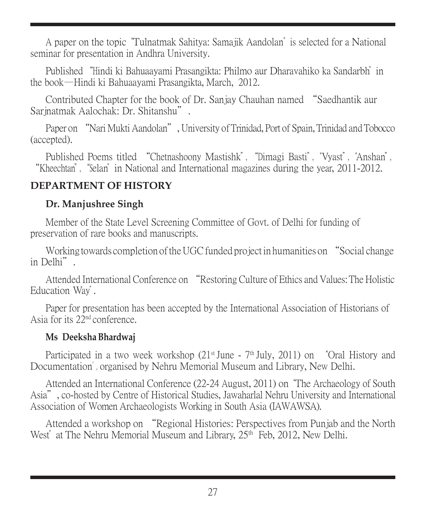A paper on the topic 'Tulnatmak Sahitya: Samajik Aandolan' is selected for a National seminar for presentation in Andhra University.

Published 'Hindi ki Bahuaayami Prasangikta: Philmo aur Dharavahiko ka Sandarbh' in the book—Hindi ki Bahuaayami Prasangikta, March, 2012.

Contributed Chapter for the book of Dr. Sanjay Chauhan named 'Saedhantik aur Sarjnatmak Aalochak: Dr. Shitanshu".

Paper on "Nari Mukti Aandolan", University of Trinidad, Port of Spain, Trinidad and Tobocco (accepted).

Published Poems titled 'Chetnashoony Mastishk', 'Dimagi Basti', 'Vyast', 'Anshan', 'Kheechtan', 'Selan' in National and International magazines during the year, 2011-2012.

#### **DEPARTMENT OF HISTORY**

## **Dr. Manjushree Singh**

Member of the State Level Screening Committee of Govt. of Delhi for funding of preservation of rare books and manuscripts.

Working towards completion of the UGC funded project in humanities on "Social change" in Delhi".

Attended International Conference on 'Restoring Culture of Ethics and Values:The Holistic Education Way'.

Paper for presentation has been accepted by the International Association of Historians of Asia for its 22nd conference.

## **Ms Deeksha Bhardwaj**

Participated in a two week workshop  $(21^{st}$  June -  $7^{th}$  July,  $2011$ ) on 'Oral History and Documentation', organised by Nehru Memorial Museum and Library, New Delhi.

Attended an International Conference (22-24 August, 2011) on 'The Archaeology of South Asia', co-hosted by Centre of Historical Studies, Jawaharlal Nehru University and International Association of Women Archaeologists Working in South Asia (IAWAWSA).

Attended a workshop on 'Regional Histories: Perspectives from Punjab and the North West<sup>"</sup> at The Nehru Memorial Museum and Library, 25<sup>th</sup> Feb, 2012, New Delhi.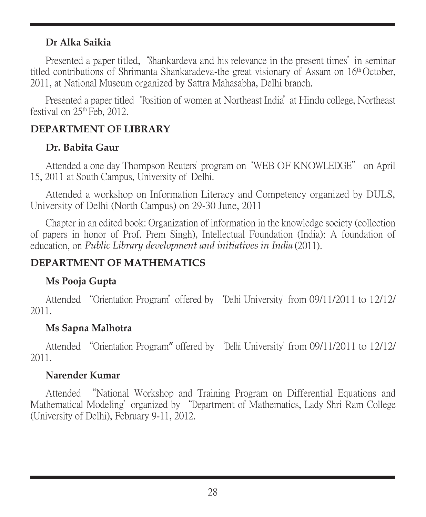#### **Dr Alka Saikia**

Presented a paper titled, 'Shankardeva and his relevance in the present times' in seminar titled contributions of Shrimanta Shankaradeva-the great visionary of Assam on 16th October, 2011, at National Museum organized by Sattra Mahasabha, Delhi branch.

Presented a paper titled 'Position of women at Northeast India' at Hindu college, Northeast festival on 25th Feb, 2012.

## **DEPARTMENT OF LIBRARY**

## **Dr. Babita Gaur**

Attended a one day Thompson Reuters' program on 'WEB OF KNOWLEDGE' on April 15, 2011 at South Campus, University of Delhi.

Attended a workshop on Information Literacy and Competency organized by DULS, University of Delhi (North Campus) on 29-30 June, 2011

Chapter in an edited book: Organization of information in the knowledge society (collection of papers in honor of Prof. Prem Singh), Intellectual Foundation (India): A foundation of education, on *Public Library development and initiatives in India* (2011).

## **DEPARTMENT OF MATHEMATICS**

## **Ms Pooja Gupta**

Attended 'Orientation Program' offered by 'Delhi University' from 09/11/2011 to 12/12/ 2011.

## **Ms Sapna Malhotra**

Attended 'Orientation Program**"** offered by 'Delhi University' from 09/11/2011 to 12/12/ 2011.

## **Narender Kumar**

Attended 'National Workshop and Training Program on Differential Equations and Mathematical Modeling' organized by 'Department of Mathematics, Lady Shri Ram College (University of Delhi), February 9-11, 2012.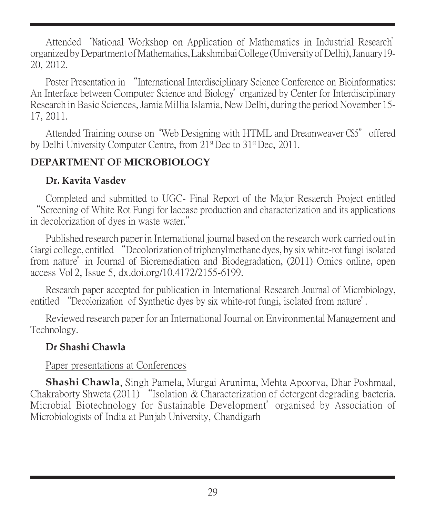Attended 'National Workshop on Application of Mathematics in Industrial Research' organizedbyDepartmentofMathematics,LakshmibaiCollege(UniversityofDelhi),January19- 20, 2012.

Poster Presentation in 'International Interdisciplinary Science Conference on Bioinformatics: An Interface between Computer Science and Biology' organized by Center for Interdisciplinary Research in Basic Sciences,Jamia Millia Islamia, NewDelhi, during the period November 15- 17, 2011.

Attended Training course on 'Web Designing with HTML and Dreamweaver CS5' offered by Delhi University Computer Centre, from 21<sup>st</sup> Dec to 31<sup>st</sup> Dec, 2011.

#### **DEPARTMENT OF MICROBIOLOGY**

#### **Dr. Kavita Vasdev**

Completed and submitted to UGC- Final Report of the Major Resaerch Project entitled 'Screening of White Rot Fungi for laccase production and characterization and its applications in decolorization of dyes in waste water.'

Published research paper in International journal based on the research work carried out in Gargi college, entitled 'Decolorization of triphenylmethane dyes, by sixwhite-rot fungi isolated from nature' in Journal of Bioremediation and Biodegradation, (2011) Omics online, open access Vol 2, Issue 5, dx.doi.org/10.4172/2155-6199.

Research paper accepted for publication in International Research Journal of Microbiology, entitled 'Decolorization of Synthetic dyes by six white-rot fungi, isolated from nature'.

Reviewed research paper for an International Journal on Environmental Management and Technology.

#### **Dr Shashi Chawla**

#### Paper presentations at Conferences

**Shashi Chawla**, Singh Pamela, Murgai Arunima, Mehta Apoorva, Dhar Poshmaal, Chakraborty Shweta (2011) 'Isolation & Characterization of detergent degrading bacteria. Microbial Biotechnology for Sustainable Development' organised by Association of Microbiologists of India at Punjab University, Chandigarh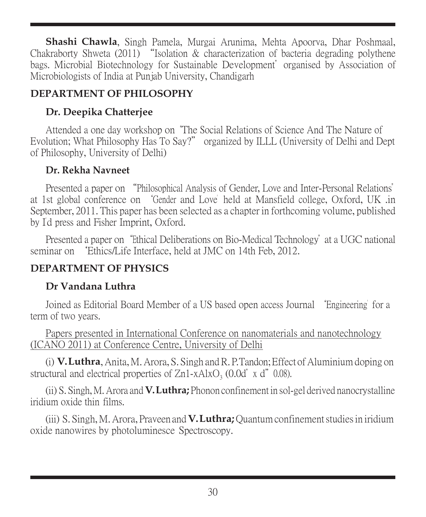**Shashi Chawla**, Singh Pamela, Murgai Arunima, Mehta Apoorva, Dhar Poshmaal, Chakraborty Shweta (2011) "Isolation & characterization of bacteria degrading polythene bags. Microbial Biotechnology for Sustainable Development' organised by Association of Microbiologists of India at Punjab University, Chandigarh

## **DEPARTMENT OF PHILOSOPHY**

## **Dr. Deepika Chatterjee**

Attended a one day workshop on 'The Social Relations of Science And The Nature of Evolution; What Philosophy Has To Say?' organized by ILLL (University of Delhi and Dept of Philosophy, University of Delhi)

## **Dr. Rekha Navneet**

Presented a paper on 'Philosophical Analysis of Gender, Love and Inter-Personal Relations' at 1st global conference on 'Gender and Love' held at Mansfield college, Oxford, UK .in September, 2011. This paper has been selected as a chapter in forthcoming volume, published by I'd press and Fisher Imprint, Oxford.

Presented a paper on 'Ethical Deliberations on Bio-Medical Technology' at a UGC national seminar on 'Ethics/Life Interface, held at JMC on 14th Feb, 2012.

## **DEPARTMENT OF PHYSICS**

## **Dr Vandana Luthra**

Joined as Editorial Board Member of a US based open access Journal 'Engineering' for a term of two years.

Papers presented in International Conference on nanomaterials and nanotechnology (ICANO 2011) at Conference Centre, University of Delhi

(i) **V. Luthra**, Anita, M. Arora, S. Singh and R. P. Tandon; Effect of Aluminium doping on structural and electrical properties of  $Zn1-xAlxO_3$  (0.0d' x d" 0.08).

(ii) S. Singh, M.Arora and **V.Luthra;** Phonon confinement in sol-gel derived nanocrystalline iridium oxide thin films.

(iii) S. Singh, M.Arora, Praveen and **V.Luthra;**Quantum confinementstudiesin iridium oxide nanowires by photoluminesce Spectroscopy.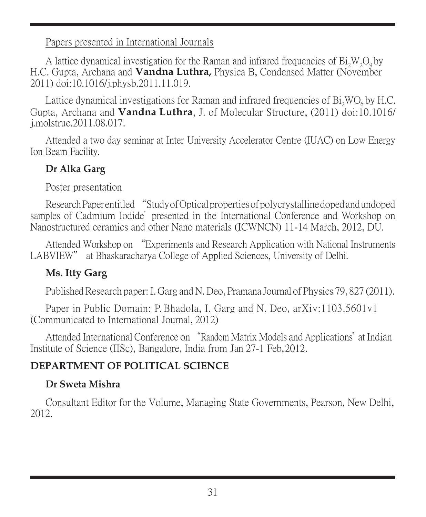#### Papers presented in International Journals

A lattice dynamical investigation for the Raman and infrared frequencies of  $Bi_2W_2O_9$  by H.C. Gupta, Archana and **Vandna Luthra,** Physica B, Condensed Matter (November 2011) doi:10.1016/j.physb.2011.11.019.

Lattice dynamical investigations for Raman and infrared frequencies of  $Bi_2WO_6$  by H.C. Gupta, Archana and **Vandna Luthra**, J. of Molecular Structure, (2011) doi:10.1016/ j.molstruc.2011.08.017.

Attended a two day seminar at Inter University Accelerator Centre (IUAC) on Low Energy Ion Beam Facility.

## **Dr Alka Garg**

#### Poster presentation

Research Paperentitled "Study of Optical properties of polycrystalline doped and undoped samples of Cadmium Iodide' presented in the International Conference and Workshop on Nanostructured ceramics and other Nano materials (ICWNCN) 11-14 March, 2012, DU.

Attended Workshop on 'Experiments and Research Application with National Instruments LABVIEW' at Bhaskaracharya College of Applied Sciences, University of Delhi.

## **Ms. Itty Garg**

Published Research paper: I. Garg and N. Deo, Pramana Journal of Physics 79, 827 (2011).

Paper in Public Domain: P. Bhadola, I. Garg and N. Deo, arXiv:1103.5601v1 (Communicated to International Journal, 2012)

Attended International Conference on 'Random Matrix Models and Applications' at Indian Institute of Science (IISc), Bangalore, India from Jan 27-1 Feb,2012.

## **DEPARTMENT OF POLITICAL SCIENCE**

#### **Dr Sweta Mishra**

Consultant Editor for the Volume, Managing State Governments, Pearson, New Delhi, 2012.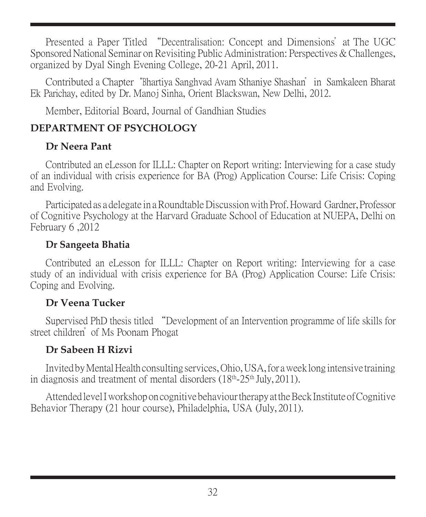Presented a Paper Titled 'Decentralisation: Concept and Dimensions' at The UGC Sponsored National Seminar on Revisiting Public Administration: Perspectives & Challenges, organized by Dyal Singh Evening College, 20-21 April, 2011.

Contributed a Chapter 'Bhartiya Sanghvad Avam Sthaniye Shashan' in Samkaleen Bharat Ek Parichay, edited by Dr. Manoj Sinha, Orient Blackswan, New Delhi, 2012.

Member, Editorial Board, Journal of Gandhian Studies

## **DEPARTMENT OF PSYCHOLOGY**

## **Dr Neera Pant**

Contributed an eLesson for ILLL: Chapter on Report writing: Interviewing for a case study of an individual with crisis experience for BA (Prog) Application Course: Life Crisis: Coping and Evolving.

Participated as a delegate in a Roundtable Discussion with Prof. Howard Gardner, Professor of Cognitive Psychology at the Harvard Graduate School of Education at NUEPA, Delhi on February 6 ,2012

#### **Dr Sangeeta Bhatia**

Contributed an eLesson for ILLL: Chapter on Report writing: Interviewing for a case study of an individual with crisis experience for BA (Prog) Application Course: Life Crisis: Coping and Evolving.

## **Dr Veena Tucker**

Supervised PhD thesis titled 'Development of an Intervention programme of life skills for street children' of Ms Poonam Phogat

#### **Dr Sabeen H Rizvi**

Invited by Mental Health consulting services, Ohio, USA, for a week long intensive training in diagnosis and treatment of mental disorders  $(18<sup>th</sup>-25<sup>th</sup>$  July, 2011).

Attended level I workshop on cognitive behaviour therapy at the Beck Institute of Cognitive Behavior Therapy (21 hour course), Philadelphia, USA (July, 2011).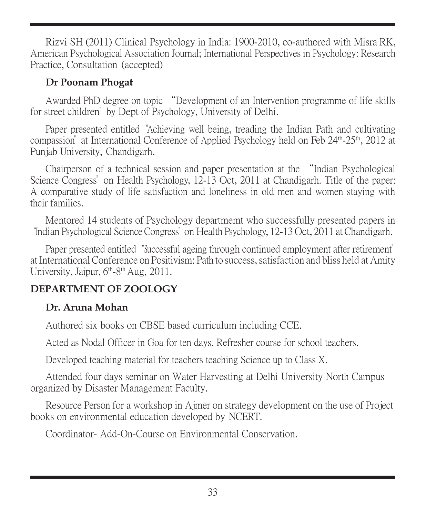Rizvi SH (2011) Clinical Psychology in India: 1900-2010, co-authored with Misra RK, American Psychological Association Journal; International Perspectives in Psychology: Research Practice, Consultation (accepted)

## **Dr Poonam Phogat**

Awarded PhD degree on topic 'Development of an Intervention programme of life skills for street children' by Dept of Psychology, University of Delhi.

Paper presented entitled 'Achieving well being, treading the Indian Path and cultivating compassion<sup>"</sup> at International Conference of Applied Psychology held on Feb 24<sup>th</sup>-25<sup>th</sup>, 2012 at Punjab University, Chandigarh.

Chairperson of a technical session and paper presentation at the 'Indian Psychological Science Congress' on Health Psychology, 12-13 Oct, 2011 at Chandigarh. Title of the paper: A comparative study of life satisfaction and loneliness in old men and women staying with their families.

Mentored 14 students of Psychology departmemt who successfully presented papers in 'Indian Psychological Science Congress' onHealth Psychology, 12-13Oct, 2011 at Chandigarh.

Paper presented entitled 'Successful ageing through continued employment after retirement' at International Conference on Positivism: Path to success, satisfaction and bliss held at Amity University, Jaipur, 6<sup>th</sup>-8<sup>th</sup> Aug, 2011.

## **DEPARTMENT OF ZOOLOGY**

## **Dr. Aruna Mohan**

Authored six books on CBSE based curriculum including CCE.

Acted as Nodal Officer in Goa for ten days. Refresher course for school teachers.

Developed teaching material for teachers teaching Science up to Class X.

Attended four days seminar on Water Harvesting at Delhi University North Campus organized by Disaster Management Faculty.

Resource Person for a workshop in Ajmer on strategy development on the use of Project books on environmental education developed by NCERT.

Coordinator- Add-On-Course on Environmental Conservation.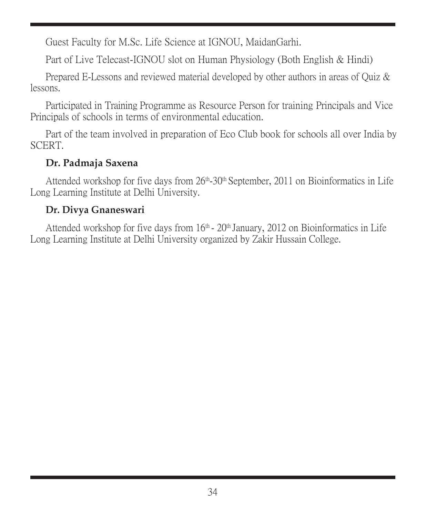Guest Faculty for M.Sc. Life Science at IGNOU, MaidanGarhi.

Part of Live Telecast-IGNOU slot on Human Physiology (Both English & Hindi)

Prepared E-Lessons and reviewed material developed by other authors in areas of Quiz & lessons.

Participated in Training Programme as Resource Person for training Principals and Vice Principals of schools in terms of environmental education.

Part of the team involved in preparation of Eco Club book for schools all over India by SCERT.

## **Dr. Padmaja Saxena**

Attended workshop for five days from  $26<sup>th</sup> - 30<sup>th</sup>$  September, 2011 on Bioinformatics in Life Long Learning Institute at Delhi University.

#### **Dr. Divya Gnaneswari**

Attended workshop for five days from  $16<sup>th</sup>$  -  $20<sup>th</sup>$  January, 2012 on Bioinformatics in Life Long Learning Institute at Delhi University organized by Zakir Hussain College.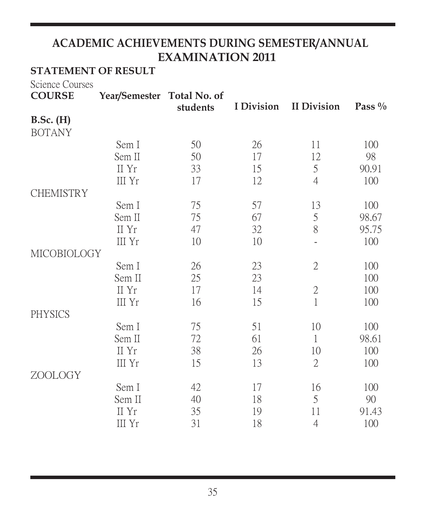# **ACADEMIC ACHIEVEMENTS DURING SEMESTER/ANNUAL EXAMINATION 2011**

### **STATEMENT OF RESULT**

Science Courses

| <b>COURSE</b>    | Year/Semester Total No. of | students | I Division | <b>II</b> Division                  | Pass $\%$ |
|------------------|----------------------------|----------|------------|-------------------------------------|-----------|
| $B.Sc.$ (H)      |                            |          |            |                                     |           |
| <b>BOTANY</b>    |                            |          |            |                                     |           |
|                  | Sem I                      | 50       | 26         | 11                                  | 100       |
|                  | Sem II                     | 50       | 17         | 12                                  | 98        |
|                  | II Yr                      | 33       | 15         | $\mathfrak{S}% _{S}\left( t\right)$ | 90.91     |
|                  | III Yr                     | 17       | 12         | $\overline{4}$                      | 100       |
| <b>CHEMISTRY</b> |                            |          |            |                                     |           |
|                  | Sem I                      | 75       | 57         | 13                                  | 100       |
|                  | Sem II                     | 75       | 67         | 5                                   | 98.67     |
|                  | II Yr                      | 47       | 32         | 8                                   | 95.75     |
|                  | III Yr                     | 10       | 10         |                                     | 100       |
| MICOBIOLOGY      |                            |          |            |                                     |           |
|                  | Sem I                      | 26       | 23         | $\mathfrak{2}$                      | 100       |
|                  | Sem II                     | 25       | 23         |                                     | 100       |
|                  | II Yr                      | 17       | 14         | $\sqrt{2}$                          | 100       |
|                  | III Yr                     | 16       | 15         | $\mathbf{1}$                        | 100       |
| <b>PHYSICS</b>   |                            |          |            |                                     |           |
|                  | Sem I                      | 75       | 51         | 10                                  | 100       |
|                  | Sem II                     | 72       | 61         | $\mathbf{1}$                        | 98.61     |
|                  | II Yr                      | 38       | 26         | 10                                  | 100       |
|                  | III Yr                     | 15       | 13         | $\mathbf{2}$                        | 100       |
| ZOOLOGY          |                            |          |            |                                     |           |
|                  | Sem I                      | 42       | 17         | 16                                  | 100       |
|                  | Sem II                     | 40       | 18         | 5                                   | 90        |
|                  | II Yr                      | 35       | 19         | 11                                  | 91.43     |
|                  | III Yr                     | 31       | 18         | $\overline{4}$                      | 100       |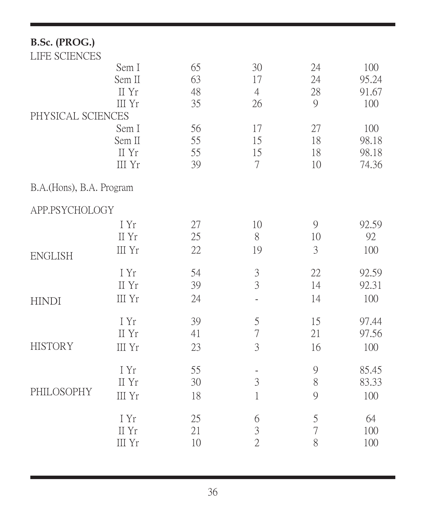| B.Sc. (PROG.)<br><b>LIFE SCIENCES</b> |                          |                |                                     |                |                       |
|---------------------------------------|--------------------------|----------------|-------------------------------------|----------------|-----------------------|
|                                       | Sem I<br>Sem II          | 65<br>63       | 30<br>17                            | 24<br>24       | 100<br>95.24          |
|                                       | II Yr<br>III Yr          | 48<br>35       | $\overline{4}$<br>26                | 28<br>9        | 91.67<br>100          |
| PHYSICAL SCIENCES                     |                          |                |                                     |                |                       |
|                                       | Sem I<br>Sem II<br>II Yr | 56<br>55<br>55 | 17<br>15<br>15                      | 27<br>18<br>18 | 100<br>98.18<br>98.18 |
|                                       | III Yr                   | 39             | $\overline{7}$                      | 10             | 74.36                 |
| B.A. (Hons), B.A. Program             |                          |                |                                     |                |                       |
| APP.PSYCHOLOGY                        |                          |                |                                     |                |                       |
|                                       | I Yr<br>II Yr            | 27<br>25       | 10<br>8                             | 9<br>10        | 92.59<br>92           |
| <b>ENGLISH</b>                        | III Yr                   | 22             | 19                                  | 3              | 100                   |
|                                       | I Yr                     | 54             | 3<br>3                              | 22             | 92.59                 |
| <b>HINDI</b>                          | II Yr<br>III Yr          | 39<br>24       |                                     | 14<br>14       | 92.31<br>100          |
|                                       | I Yr                     | 39             | $\mathfrak{H}% _{S}\left( t\right)$ | 15             | 97.44                 |
|                                       | II Yr                    | 41             | $\overline{7}$                      | 21             | 97.56                 |
| <b>HISTORY</b>                        | III Yr                   | 23             | 3                                   | 16             | 100                   |
|                                       | I Yr                     | 55             | $\overline{\phantom{0}}$            | $\mathcal{G}$  | 85.45                 |
|                                       | II Yr                    | 30             | 3                                   | 8              | 83.33                 |
| PHILOSOPHY                            | III Yr                   | 18             | $\mathbf{1}$                        | 9              | 100                   |
|                                       | I Yr                     | 25             | 6                                   | 5              | 64                    |
|                                       | II Yr                    | 21             | $\mathfrak{Z}$                      | $\sqrt{ }$     | 100                   |
|                                       | III Yr                   | 10             | $\overline{2}$                      | 8              | 100                   |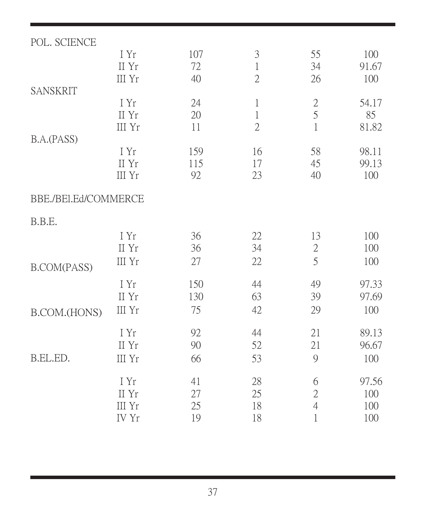| POL. SCIENCE         |        |     |                |                |       |
|----------------------|--------|-----|----------------|----------------|-------|
|                      | I Yr   | 107 | $\mathfrak{Z}$ | 55             | 100   |
|                      | II Yr  | 72  | $\,1$          | 34             | 91.67 |
| SANSKRIT             | III Yr | 40  | $\overline{2}$ | 26             | 100   |
|                      | I Yr   | 24  | $\mathbf{1}$   | $\sqrt{2}$     | 54.17 |
|                      | II Yr  | 20  | $\mathbf{1}$   | 5              | 85    |
|                      | III Yr | 11  | $\overline{2}$ | $\mathbf{1}$   | 81.82 |
| B.A.(PASS)           |        |     |                |                |       |
|                      | I Yr   | 159 | 16             | 58             | 98.11 |
|                      | II Yr  | 115 | 17             | 45             | 99.13 |
|                      | III Yr | 92  | 23             | 40             | 100   |
| BBE./BEl.Ed/COMMERCE |        |     |                |                |       |
| B.B.E.               |        |     |                |                |       |
|                      | I Yr   | 36  | 22             | 13             | 100   |
|                      | II Yr  | 36  | 34             | $\sqrt{2}$     | 100   |
| <b>B.COM(PASS)</b>   | III Yr | 27  | 22             | 5              | 100   |
|                      | I Yr   | 150 | 44             | 49             | 97.33 |
|                      | II Yr  | 130 | 63             | 39             | 97.69 |
| B.COM.(HONS)         | III Yr | 75  | 42             | 29             | 100   |
|                      | I Yr   | 92  | 44             | 21             | 89.13 |
|                      | II Yr  | 90  | 52             | 21             | 96.67 |
| B.EL.ED.             | III Yr | 66  | 53             | 9              | 100   |
|                      | I Yr   | 41  | 28             | 6              | 97.56 |
|                      | II Yr  | 27  | 25             | $\overline{2}$ | 100   |
|                      | III Yr | 25  | 18             | $\overline{4}$ | 100   |
|                      | IV Yr  | 19  | 18             | $\mathbf{1}$   | 100   |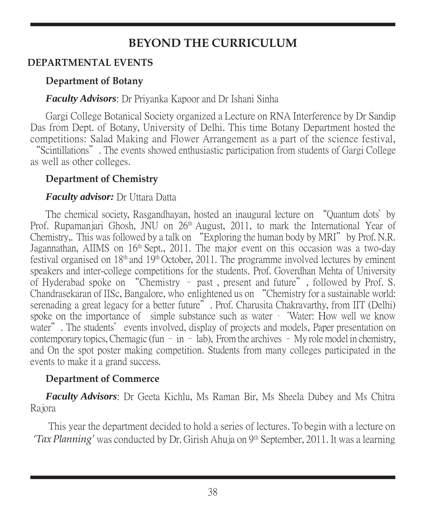# **BEYOND THE CURRICULUM**

#### **DEPARTMENTAL EVENTS**

#### **Department of Botany**

#### *Faculty Advisors*: Dr Priyanka Kapoor and Dr Ishani Sinha

Gargi College Botanical Society organized a Lecture on RNA Interference by Dr Sandip Das from Dept. of Botany, University of Delhi. This time Botany Department hosted the competitions: Salad Making and Flower Arrangement as a part of the science festival,

'Scintillations'. The events showed enthusiastic participation from students of Gargi College as well as other colleges.

#### **Department of Chemistry**

#### *Faculty advisor:* Dr Uttara Datta

The chemical society, Rasgandhayan, hosted an inaugural lecture on 'Quantum dots' by Prof. Rupamanjari Ghosh, JNU on 26<sup>th</sup> August, 2011, to mark the International Year of Chemistry,. This was followed by a talk on "Exploring the human body by MRI" by Prof. N.R. Jagannathan, AIIMS on 16<sup>th</sup> Sept., 2011. The major event on this occasion was a two-day festival organised on 18th and 19th October, 2011. The programme involved lectures by eminent speakers and inter-college competitions for the students. Prof. Goverdhan Mehta of University of Hyderabad spoke on 'Chemistry – past , present and future', followed by Prof. S. Chandrasekaran of IISc, Bangalore, who enlightened us on 'Chemistry for a sustainable world: serenading a great legacy for a better future". Prof. Charusita Chakravarthy, from IIT (Delhi) spoke on the importance of simple substance such as water – 'Water: How well we know water". The students' events involved, display of projects and models, Paper presentation on contemporary topics, Chemagic (fun – in – lab), From the archives – My role model in chemistry, and On the spot poster making competition. Students from many colleges participated in the events to make it a grand success.

#### **Department of Commerce**

*Faculty Advisors*: Dr Geeta Kichlu, Ms Raman Bir, Ms Sheela Dubey and Ms Chitra Rajora

This year the department decided to hold a series of lectures. To begin with a lecture on *Tax Planning'* was conducted by Dr. Girish Ahuja on 9<sup>th</sup> September, 2011. It was a learning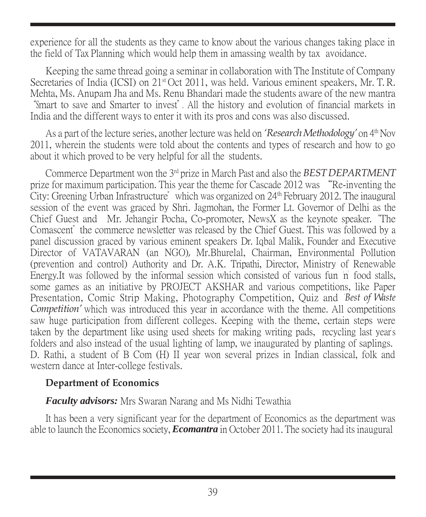experience for all the students as they came to know about the various changes taking place in the field of Tax Planning which would help them in amassing wealth by tax avoidance.

Keeping the same thread going a seminar in collaboration with The Institute of Company Secretaries of India (ICSI) on 21<sup>st</sup> Oct 2011, was held. Various eminent speakers, Mr. T. R. Mehta, Ms. Anupam Jha and Ms. Renu Bhandari made the students aware of the new mantra 'Smart to save and Smarter to invest'. All the history and evolution of financial markets in India and the different ways to enter it with its pros and cons was also discussed.

As a part of the lecture series, another lecture was held on 'Research Methodology' on 4<sup>th</sup> Nov 2011, wherein the students were told about the contents and types of research and how to go about it which proved to be very helpful for all the students.

Commerce Department won the 3 rd prize in March Past and also the *BESTDEPARTMENT*  prize for maximum participation. This year the theme for Cascade 2012 was 'Re-inventing the City: Greening Urban Infrastructure<sup>"</sup> which was organized on 24<sup>th</sup> February 2012. The inaugural session of the event was graced by Shri. Jagmohan, the Former Lt. Governor of Delhi as the Chief Guest and Mr. Jehangir Pocha, Co-promoter, NewsX as the keynote speaker. 'The Comascent' the commerce newsletter was released by the Chief Guest. This was followed by a panel discussion graced by various eminent speakers Dr. Iqbal Malik, Founder and Executive Director of VATAVARAN (an NGO)*,* Mr.Bhurelal, Chairman, Environmental Pollution (prevention and control) Authority and Dr. A.K. Tripathi, Director, Ministry of Renewable Energy.It was followed by the informal session which consisted of various fun 'n' food stalls, some games as an initiative by PROJECT AKSHAR and various competitions, like Paper Presentation, Comic Strip Making, Photography Competition, Quiz and '*Best of Waste Competition'* which was introduced this year in accordance with the theme. All competitions saw huge participation from different colleges. Keeping with the theme, certain steps were taken by the department like using used sheets for making writing pads, recycling last year's folders and also instead of the usual lighting of lamp, we inaugurated by planting of saplings. D. Rathi, a student of B Com (H) II year won several prizes in Indian classical, folk and western dance at Inter-college festivals.

#### **Department of Economics**

*Faculty advisors:* Mrs Swaran Narang and Ms Nidhi Tewathia

It has been a very significant year for the department of Economics as the department was able to launch the Economics society, *Ecomantra* in October 2011. The society had its inaugural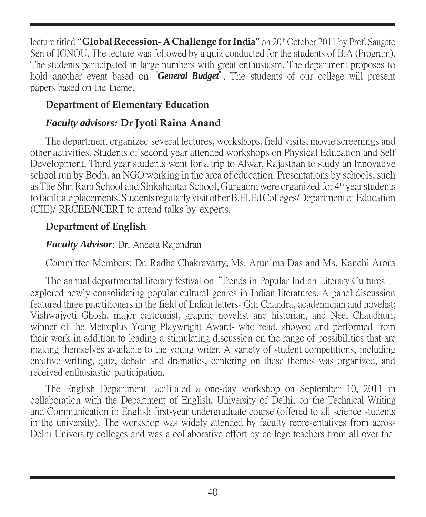lecture titled "Global Recession-A Challenge for India" on 20<sup>th</sup> October 2011 by Prof. Saugato Sen of IGNOU. The lecture was followed by a quiz conducted for the students of B.A (Program). The students participated in large numbers with great enthusiasm. The department proposes to hold another event based on '*General Budget*'. The students of our college will present papers based on the theme.

### **Department of Elementary Education**

## *Faculty advisors:* **Dr Jyoti Raina Anand**

The department organized several lectures, workshops, field visits, movie screenings and other activities. Students of second year attended workshops on Physical Education and Self Development. Third year students went for a trip to Alwar, Rajasthan to study an Innovative school run by Bodh, an NGO working in the area of education. Presentations by schools, such as The Shri Ram School and Shikshantar School, Gurgaon; were organized for 4<sup>th</sup> year students to facilitate placements. Students regularly visit other B.El.Ed Colleges/Department of Education (CIE)/ RRCEE/NCERT to attend talks by experts.

## **Department of English**

### *Faculty Advisor*: Dr. Aneeta Rajendran

Committee Members: Dr. Radha Chakravarty, Ms. Arunima Das and Ms. Kanchi Arora

The annual departmental literary festival on 'Trends in Popular Indian Literary Cultures', explored newly consolidating popular cultural genres in Indian literatures. A panel discussion featured three practitioners in the field of Indian letters- Giti Chandra, academician and novelist; Vishwajyoti Ghosh, major cartoonist, graphic novelist and historian, and Neel Chaudhuri, winner of the Metroplus Young Playwright Award- who read, showed and performed from their work in addition to leading a stimulating discussion on the range of possibilities that are making themselves available to the young writer. A variety of student competitions, including creative writing, quiz, debate and dramatics, centering on these themes was organized, and received enthusiastic participation.

The English Department facilitated a one-day workshop on September 10, 2011 in collaboration with the Department of English, University of Delhi, on the Technical Writing and Communication in English first-year undergraduate course (offered to all science students in the university). The workshop was widely attended by faculty representatives from across Delhi University colleges and was a collaborative effort by college teachers from all over the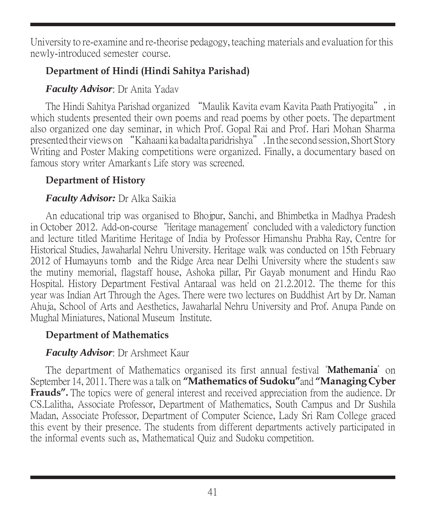University to re-examine and re-theorise pedagogy, teaching materials and evaluation for this newly-introduced semester course.

## **Department of Hindi (Hindi Sahitya Parishad)**

## *Faculty Advisor*: Dr Anita Yadav

The Hindi Sahitya Parishad organized 'Maulik Kavita evam Kavita Paath Pratiyogita', in which students presented their own poems and read poems by other poets. The department also organized one day seminar, in which Prof. Gopal Rai and Prof. Hari Mohan Sharma presentedtheir views on'Kahaani kabadaltaparidrishya'.Inthe second session,ShortStory Writing and Poster Making competitions were organized. Finally, a documentary based on famous story writer Amarkant's Life story was screened.

## **Department of History**

## *Faculty Advisor:* Dr Alka Saikia

An educational trip was organised to Bhojpur, Sanchi, and Bhimbetka in Madhya Pradesh in October 2012. Add-on-course 'Heritage management' concluded with a valedictory function and lecture titled Maritime Heritage of India by Professor Himanshu Prabha Ray, Centre for Historical Studies, Jawaharlal Nehru University. Heritage walk was conducted on 15th February 2012 of Humayun's tomb and the Ridge Area near Delhi University where the student's saw the mutiny memorial, flagstaff house, Ashoka pillar, Pir Gayab monument and Hindu Rao Hospital. History Department Festival Antaraal was held on 21.2.2012. The theme for this year was Indian Art Through the Ages. There were two lectures on Buddhist Art by Dr. Naman Ahuja, School of Arts and Aesthetics, Jawaharlal Nehru University and Prof. Anupa Pande on Mughal Miniatures, National Museum Institute.

## **Department of Mathematics**

## *Faculty Advisor*: Dr Arshmeet Kaur

The department of Mathematics organised its first annual festival '**Mathemania**' on September 14, 2011. There was a talk on **"Mathematics of Sudoku"**and **"Managing Cyber Frauds".** The topics were of general interest and received appreciation from the audience. Dr CS.Lalitha, Associate Professor, Department of Mathematics, South Campus and Dr Sushila Madan, Associate Professor, Department of Computer Science, Lady Sri Ram College graced this event by their presence. The students from different departments actively participated in the informal events such as, Mathematical Quiz and Sudoku competition.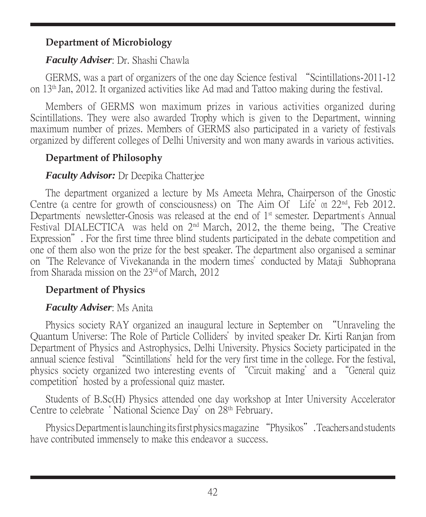### **Department of Microbiology**

#### *Faculty Adviser*: Dr. Shashi Chawla

GERMS, was a part of organizers of the one day Science festival 'Scintillations-2011-12 on  $13<sup>th</sup>$  Jan, 2012. It organized activities like Ad mad and Tattoo making during the festival.

Members of GERMS won maximum prizes in various activities organized during Scintillations. They were also awarded Trophy which is given to the Department, winning maximum number of prizes. Members of GERMS also participated in a variety of festivals organized by different colleges of Delhi University and won many awards in various activities.

### **Department of Philosophy**

### *Faculty Advisor:* Dr Deepika Chatterjee

The department organized a lecture by Ms Ameeta Mehra, Chairperson of the Gnostic Centre (a centre for growth of consciousness) on 'The Aim Of Life' on  $22<sup>nd</sup>$ , Feb 2012. Departments' newsletter-Gnosis was released at the end of 1<sup>st</sup> semester. Department's Annual Festival DIALECTICA was held on 2<sup>nd</sup> March, 2012, the theme being, "The Creative Expression". For the first time three blind students participated in the debate competition and one of them also won the prize for the best speaker. The department also organised a seminar on 'The Relevance of Vivekananda in the modern times' conducted by Mataji Subhoprana from Sharada mission on the 23rd of March, 2012

#### **Department of Physics**

### *Faculty Adviser*: Ms Anita

Physics society RAY organized an inaugural lecture in September on 'Unraveling the Quantum Universe: The Role of Particle Colliders' by invited speaker Dr. Kirti Ranjan from Department of Physics and Astrophysics, Delhi University. Physics Society participated in the annual science festival 'Scintillations' held for the very first time in the college. For the festival, physics society organized two interesting events of 'Circuit making' and a 'General quiz competition' hosted by a professional quiz master.

Students of B.Sc(H) Physics attended one day workshop at Inter University Accelerator Centre to celebrate ' National Science Day' on 28th February.

PhysicsDepartmentislaunchingitsfirstphysicsmagazine'Physikos'.Teachersandstudents have contributed immensely to make this endeavor a success.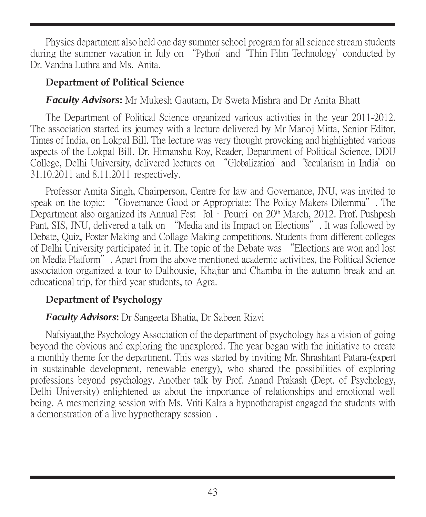Physics department also held one day summer school program for all science stream students during the summer vacation in July on 'Python' and 'Thin Film Technology' conducted by Dr. Vandna Luthra and Ms. Anita.

#### **Department of Political Science**

### *Faculty Advisors***:** Mr Mukesh Gautam, Dr Sweta Mishra and Dr Anita Bhatt

The Department of Political Science organized various activities in the year 2011-2012. The association started its journey with a lecture delivered by Mr Manoj Mitta, Senior Editor, Times of India, on Lokpal Bill. The lecture was very thought provoking and highlighted various aspects of the Lokpal Bill. Dr. Himanshu Roy, Reader, Department of Political Science, DDU College, Delhi University, delivered lectures on 'Globalization' and 'Secularism in India' on 31.10.2011 and 8.11.2011 respectively.

Professor Amita Singh, Chairperson, Centre for law and Governance, JNU, was invited to speak on the topic: 'Governance Good or Appropriate: The Policy Makers Dilemma'. The Department also organized its Annual Fest 'bl - Pourri' on 20<sup>th</sup> March, 2012. Prof. Pushpesh Pant, SIS, JNU, delivered a talk on "Media and its Impact on Elections". It was followed by Debate, Quiz, Poster Making and Collage Making competitions. Students from different colleges of Delhi University participated in it. The topic of the Debate was 'Elections are won and lost on Media Platform'. Apart from the above mentioned academic activities, the Political Science association organized a tour to Dalhousie, Khajiar and Chamba in the autumn break and an educational trip, for third year students, to Agra.

### **Department of Psychology**

#### *Faculty Advisors***:** Dr Sangeeta Bhatia, Dr Sabeen Rizvi

Nafsiyaat,the Psychology Association of the department of psychology has a vision of going beyond the obvious and exploring the unexplored. The year began with the initiative to create a monthly theme for the department. This was started by inviting Mr. Shrashtant Patara-(expert in sustainable development, renewable energy), who shared the possibilities of exploring professions beyond psychology. Another talk by Prof. Anand Prakash (Dept. of Psychology, Delhi University) enlightened us about the importance of relationships and emotional well being. A mesmerizing session with Ms. Vriti Kalra a hypnotherapist engaged the students with a demonstration of a live hypnotherapy session .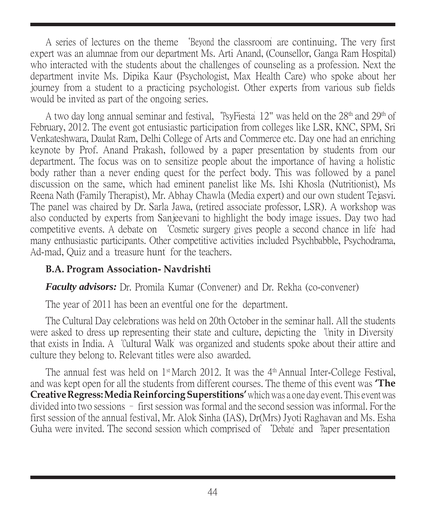A series of lectures on the theme 'Beyond the classroom' are continuing. The very first expert was an alumnae from our department Ms. Arti Anand, (Counsellor, Ganga Ram Hospital) who interacted with the students about the challenges of counseling as a profession. Next the department invite Ms. Dipika Kaur (Psychologist, Max Health Care) who spoke about her journey from a student to a practicing psychologist. Other experts from various sub fields would be invited as part of the ongoing series.

A two day long annual seminar and festival, "PsyFiesta' 12" was held on the 28<sup>th</sup> and 29<sup>th</sup> of February, 2012. The event got entusiastic participation from colleges like LSR, KNC, SPM, Sri Venkateshwara, Daulat Ram, Delhi College of Arts and Commerce etc. Day one had an enriching keynote by Prof. Anand Prakash, followed by a paper presentation by students from our department. The focus was on to sensitize people about the importance of having a holistic body rather than a never ending quest for the perfect body. This was followed by a panel discussion on the same, which had eminent panelist like Ms. Ishi Khosla (Nutritionist), Ms Reena Nath (Family Therapist), Mr. Abhay Chawla (Media expert) and our own student Tejasvi. The panel was chaired by Dr. Sarla Jawa, (retired associate professor, LSR). A workshop was also conducted by experts from Sanjeevani to highlight the body image issues. Day two had competitive events. A debate on 'Cosmetic surgery gives people a second chance in life' had many enthusiastic participants. Other competitive activities included Psychbabble, Psychodrama, Ad-mad, Quiz and a 'treasure hunt' for the teachers.

#### **B.A. Program Association- Navdrishti**

*Faculty advisors:* Dr. Promila Kumar (Convener) and Dr. Rekha (co-convener)

The year of 2011 has been an eventful one for the department.

The Cultural Day celebrations was held on 20th October in the seminar hall. All the students were asked to dress up representing their state and culture, depicting the 'Unity in Diversity' that exists in India. A 'Cultural Walk' was organized and students spoke about their attire and culture they belong to. Relevant titles were also awarded.

The annual fest was held on  $1<sup>st</sup>$  March 2012. It was the  $4<sup>th</sup>$  Annual Inter-College Festival, and was kept open for all the students from different courses. The theme of this event was **"The CreativeRegress:MediaReinforcing Superstitions"**whichwas a one day event.This eventwas divided into two sessions – first session was formal and the second session was informal. For the first session of the annual festival, Mr. Alok Sinha (IAS), Dr(Mrs) Jyoti Raghavan and Ms. Esha Guha were invited. The second session which comprised of 'Debate' and 'Paper presentation'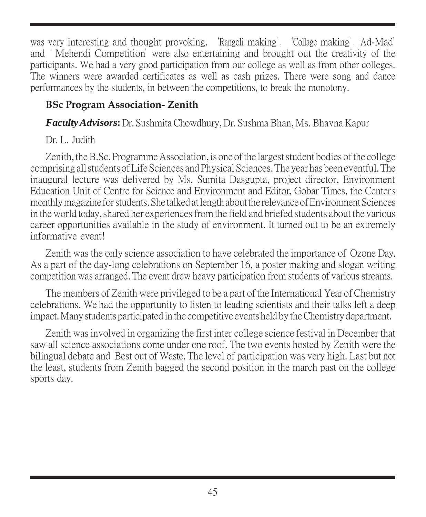was very interesting and thought provoking. 'Rangoli making', 'Collage making', 'Ad-Mad' and ' Mehendi Competition' were also entertaining and brought out the creativity of the participants. We had a very good participation from our college as well as from other colleges. The winners were awarded certificates as well as cash prizes. There were song and dance performances by the students, in between the competitions, to break the monotony.

### **BSc Program Association- Zenith**

*Faculty Advisors*: Dr. Sushmita Chowdhury, Dr. Sushma Bhan, Ms. Bhavna Kapur

Dr. L. Judith

Zenith, the B.Sc. Programme Association, is one of the largest student bodies of the college comprising allstudentsofLifeSciences andPhysicalSciences.Theyear hasbeen eventful.The inaugural lecture was delivered by Ms. Sumita Dasgupta, project director, Environment Education Unit of Centre for Science and Environment and Editor, Gobar Times, the Center's monthly magazine for students. She talked at length about the relevance of Environment Sciences in the world today, shared her experiences from the field and briefed students about the various career opportunities available in the study of environment. It turned out to be an extremely informative event!

Zenith was the only science association to have celebrated the importance of Ozone Day. As a part of the day-long celebrations on September 16, a poster making and slogan writing competition was arranged. The event drew heavy participation from students of various streams.

The members of Zenith were privileged to be a part of the International Year of Chemistry celebrations. We had the opportunity to listen to leading scientists and their talks left a deep impact. Many students participated in the competitive events held by the Chemistry department.

Zenith was involved in organizing the first inter college science festival in December that saw all science associations come under one roof. The two events hosted by Zenith were the bilingual debate and Best out of Waste. The level of participation was very high. Last but not the least, students from Zenith bagged the second position in the march past on the college sports day.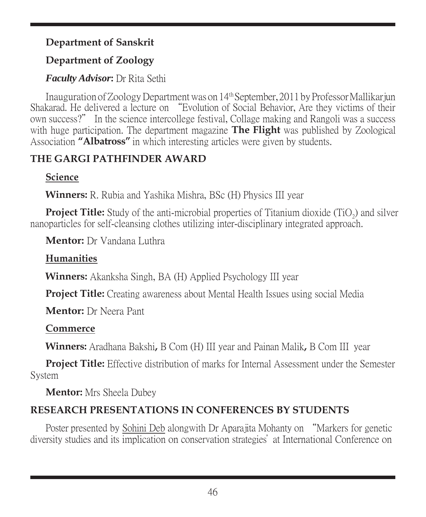## **Department of Sanskrit**

## **Department of Zoology**

## *Faculty Advisor***:** Dr Rita Sethi

Inauguration of Zoology Department was on 14<sup>th</sup> September, 2011 by Professor Mallikar jun Shakarad. He delivered a lecture on 'Evolution of Social Behavior, Are they victims of their own success?' In the science intercollege festival, Collage making and Rangoli was a success with huge participation. The department magazine **The Flight** was published by Zoological Association **"Albatross"** in which interesting articles were given by students.

## **THE GARGI PATHFINDER AWARD**

## **Science**

**Winners:** R. Rubia and Yashika Mishra, BSc (H) Physics III year

**Project Title:** Study of the anti-microbial properties of Titanium dioxide (TiO<sub>2</sub>) and silver nanoparticles for self-cleansing clothes utilizing inter-disciplinary integrated approach.

**Mentor:** Dr Vandana Luthra

## **Humanities**

**Winners:** Akanksha Singh, BA (H) Applied Psychology III year

**Project Title:** Creating awareness about Mental Health Issues using social Media

**Mentor:** Dr Neera Pant

## **Commerce**

**Winners:** Aradhana Bakshi**,** B Com (H) III year and Painan Malik**,** B Com III year

**Project Title:** Effective distribution of marks for Internal Assessment under the Semester System

**Mentor:** Mrs Sheela Dubey

# **RESEARCH PRESENTATIONS IN CONFERENCES BY STUDENTS**

Poster presented by Sohini Deb alongwith Dr Aparajita Mohanty on 'Markers for genetic diversity studies and its implication on conservation strategies' at International Conference on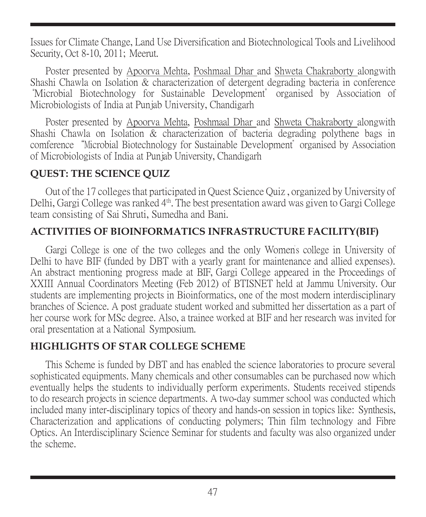Issues for Climate Change, Land Use Diversification and Biotechnological Tools and Livelihood Security, Oct 8-10, 2011; Meerut.

Poster presented by Apoorva Mehta, Poshmaal Dhar and Shweta Chakraborty alongwith Shashi Chawla on Isolation & characterization of detergent degrading bacteria in conference 'Microbial Biotechnology for Sustainable Development' organised by Association of Microbiologists of India at Punjab University, Chandigarh

Poster presented by Apoorva Mehta, Poshmaal Dhar and Shweta Chakraborty alongwith Shashi Chawla on Isolation & characterization of bacteria degrading polythene bags in comference 'Microbial Biotechnology for Sustainable Development' organised by Association of Microbiologists of India at Punjab University, Chandigarh

### **QUEST: THE SCIENCE QUIZ**

Out of the 17 colleges that participated in Quest Science Quiz , organized by University of Delhi, Gargi College was ranked 4<sup>th</sup>. The best presentation award was given to Gargi College team consisting of Sai Shruti, Sumedha and Bani.

### **ACTIVITIES OF BIOINFORMATICS INFRASTRUCTURE FACILITY(BIF)**

Gargi College is one of the two colleges and the only Women's college in University of Delhi to have BIF (funded by DBT with a yearly grant for maintenance and allied expenses). An abstract mentioning progress made at BIF, Gargi College appeared in the Proceedings of XXIII Annual Coordinators Meeting (Feb 2012) of BTISNET held at Jammu University. Our students are implementing projects in Bioinformatics, one of the most modern interdisciplinary branches of Science. A post graduate student worked and submitted her dissertation as a part of her course work for MSc degree. Also, a trainee worked at BIF and her research was invited for oral presentation at a National Symposium.

### **HIGHLIGHTS OF STAR COLLEGE SCHEME**

This Scheme is funded by DBT and has enabled the science laboratories to procure several sophisticated equipments. Many chemicals and other consumables can be purchased now which eventually helps the students to individually perform experiments. Students received stipends to do research projects in science departments. A two-day summer school was conducted which included many inter-disciplinary topics of theory and hands-on session in topics like: Synthesis, Characterization and applications of conducting polymers; Thin film technology and Fibre Optics. An Interdisciplinary Science Seminar for students and faculty was also organized under the scheme.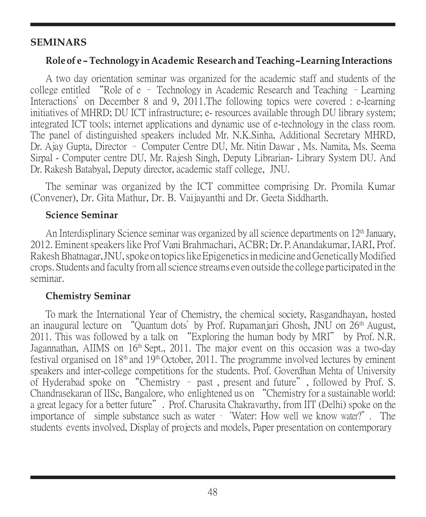#### **SEMINARS**

#### **Roleof e –TechnologyinAcademic ResearchandTeaching–Learning Interactions**

A two day orientation seminar was organized for the academic staff and students of the college entitled 'Role of e – Technology in Academic Research and Teaching –Learning Interactions' on December 8 and 9, 2011.The following topics were covered : e-learning initiatives of MHRD; DU ICT infrastructure; e- resources available through DU library system; integrated ICT tools; internet applications and dynamic use of e-technology in the class room. The panel of distinguished speakers included Mr. N.K.Sinha, Additional Secretary MHRD, Dr. Ajay Gupta, Director – Computer Centre DU, Mr. Nitin Dawar , Ms. Namita, Ms. Seema Sirpal - Computer centre DU, Mr. Rajesh Singh, Deputy Librarian- Library System DU. And Dr. Rakesh Batabyal, Deputy director, academic staff college, JNU.

The seminar was organized by the ICT committee comprising Dr. Promila Kumar (Convener), Dr. Gita Mathur, Dr. B. Vaijayanthi and Dr. Geeta Siddharth.

#### **Science Seminar**

An Interdisplinary Science seminar was organized by all science departments on  $12<sup>th</sup>$  January, 2012. Eminent speakers like Prof Vani Brahmachari, ACBR; Dr. P.Anandakumar, IARI, Prof. RakeshBhatnagar,JNU,spokeontopicslikeEpigeneticsinmedicine andGeneticallyModified crops. Students and faculty from allscience streams even outside the college participated in the seminar.

#### **Chemistry Seminar**

To mark the International Year of Chemistry, the chemical society, Rasgandhayan, hosted an inaugural lecture on "Quantum dots" by Prof. Rupamanjari Ghosh, JNU on 26<sup>th</sup> August, 2011. This was followed by a talk on 'Exploring the human body by MRI' by Prof. N.R. Jagannathan, AIIMS on 16<sup>th</sup> Sept., 2011. The major event on this occasion was a two-day festival organised on  $18<sup>th</sup>$  and  $19<sup>th</sup>$  October, 2011. The programme involved lectures by eminent speakers and inter-college competitions for the students. Prof. Goverdhan Mehta of University of Hyderabad spoke on 'Chemistry – past , present and future', followed by Prof. S. Chandrasekaran of IISc, Bangalore, who enlightened us on 'Chemistry for a sustainable world: a great legacy for a better future". Prof. Charusita Chakravarthy, from IIT (Delhi) spoke on the importance of simple substance such as water – 'Water: How well we know water?'. The students' events involved, Display of projects and models, Paper presentation on contemporary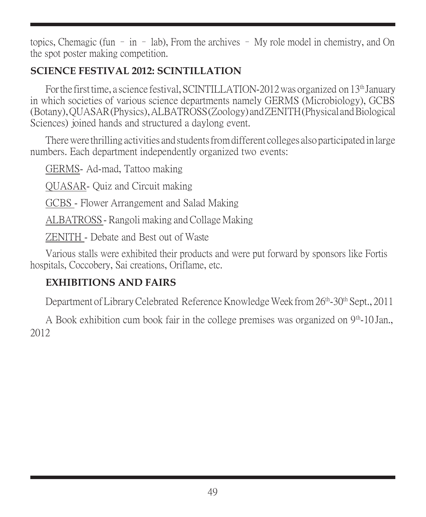topics, Chemagic (fun – in – lab), From the archives – My role model in chemistry, and On the spot poster making competition.

### **SCIENCE FESTIVAL 2012: SCINTILLATION**

For the first time, a science festival, SCINTILLATION-2012 was organized on 13<sup>th</sup> January in which societies of various science departments namely GERMS (Microbiology), GCBS (Botany),QUASAR(Physics),ALBATROSS(Zoology)andZENITH(PhysicalandBiological Sciences) joined hands and structured a daylong event.

Therewere thrilling activities and studentsfromdifferent colleges alsoparticipated inlarge numbers. Each department independently organized two events:

GERMS- Ad-mad, Tattoo making

QUASAR- Quiz and Circuit making

GCBS - Flower Arrangement and Salad Making

ALBATROSS - Rangoli making and Collage Making

ZENITH - Debate and Best out of Waste

Various stalls were exhibited their products and were put forward by sponsors like Fortis hospitals, Coccobery, Sai creations, Oriflame, etc.

## **EXHIBITIONS AND FAIRS**

Department of Library Celebrated Reference Knowledge Week from 26<sup>th</sup>-30<sup>th</sup> Sept., 2011

A Book exhibition cum book fair in the college premises was organized on  $9<sup>th</sup>$ -10 Jan., 2012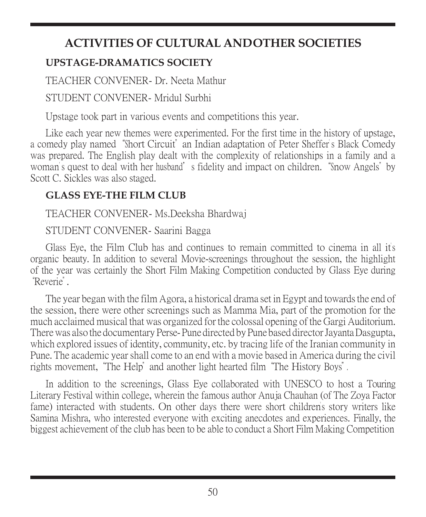# **ACTIVITIES OF CULTURAL ANDOTHER SOCIETIES**

### **UPSTAGE-DRAMATICS SOCIETY**

TEACHER CONVENER- Dr. Neeta Mathur

STUDENT CONVENER- Mridul Surbhi

Upstage took part in various events and competitions this year.

Like each year new themes were experimented. For the first time in the history of upstage, a comedy play named 'Short Circuit' an Indian adaptation of Peter Sheffer's Black Comedy was prepared. The English play dealt with the complexity of relationships in a family and a woman's quest to deal with her husband's fidelity and impact on children. 'Snow Angels' by Scott C. Sickles was also staged.

### **GLASS EYE-THE FILM CLUB**

TEACHER CONVENER- Ms.Deeksha Bhardwaj

STUDENT CONVENER- Saarini Bagga

Glass Eye, the Film Club has and continues to remain committed to cinema in all it's organic beauty. In addition to several Movie-screenings throughout the session, the highlight of the year was certainly the Short Film Making Competition conducted by Glass Eye during 'Reverie'.

The year began with the film Agora, a historical drama set in Egypt and towards the end of the session, there were other screenings such as Mamma Mia, part of the promotion for the much acclaimed musical that was organized for the colossal opening of the Gargi Auditorium. There was also the documentary Perse-Pune directed by Pune based director Jayanta Dasgupta, which explored issues of identity, community, etc. by tracing life of the Iranian community in Pune. The academic year shall come to an end with a movie based in America during the civil rights movement, 'The Help' and another light hearted film 'The History Boys'.

In addition to the screenings, Glass Eye collaborated with UNESCO to host a Touring Literary Festival within college, wherein the famous author Anuja Chauhan (of The Zoya Factor fame) interacted with students. On other days there were short children's story writers like Samina Mishra, who interested everyone with exciting anecdotes and experiences. Finally, the biggest achievement of the club has been to be able to conduct a Short Film Making Competition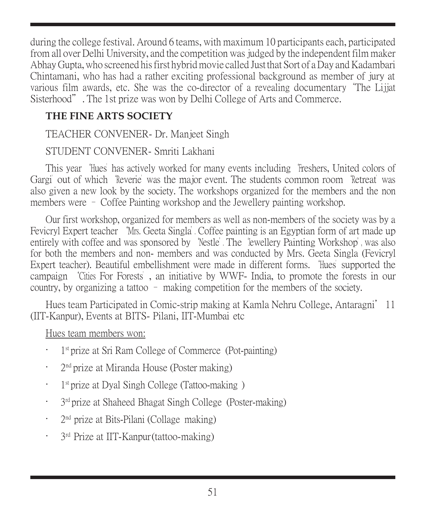during the college festival. Around 6 teams, with maximum 10 participants each, participated from all over Delhi University, and the competition was judged by the independent film maker Abhay Gupta, who screened his first hybrid movie called Just that Sort of a Day and Kadambari Chintamani, who has had a rather exciting professional background as member of jury at various film awards, etc. She was the co-director of a revealing documentary 'The Lijjat Sisterhood'. The 1st prize was won by Delhi College of Arts and Commerce.

## **THE FINE ARTS SOCIETY**

TEACHER CONVENER- Dr. Manjeet Singh STUDENT CONVENER- Smriti Lakhani

This year 'Hues' has actively worked for many events including 'Freshers, United colors of Gargi' out of which 'Reverie' was the major event. The students common room 'Retreat' was also given a new look by the society. The workshops organized for the members and the non members were – Coffee Painting workshop and the Jewellery painting workshop.

Our first workshop, organized for members as well as non-members of the society was by a Fevicryl Expert teacher 'Mrs. Geeta Singla'. Coffee painting is an Egyptian form of art made up entirely with coffee and was sponsored by 'Nestle'. The 'lewellery Painting Workshop', was also for both the members and non- members and was conducted by Mrs. Geeta Singla (Fevicryl Expert teacher). Beautiful embellishment were made in different forms. 'Hues' supported the campaign 'Cities For Forests' , an initiative by WWF- India, to promote the forests in our country, by organizing a tattoo – making competition for the members of the society.

Hues team Participated in Comic-strip making at Kamla Nehru College, Antaragni' 11 (IIT-Kanpur), Events at BITS- Pilani, IIT-Mumbai etc

Hues team members won:

- · 1 st prize at Sri Ram College of Commerce (Pot-painting)
- · 2 nd prize at Miranda House (Poster making)
- · 1 st prize at Dyal Singh College (Tattoo-making )
- · 3 rd prize at Shaheed Bhagat Singh College (Poster-making)
- · 2 nd prize at Bits-Pilani (Collage making)
- · 3 rd Prize at IIT-Kanpur(tattoo-making)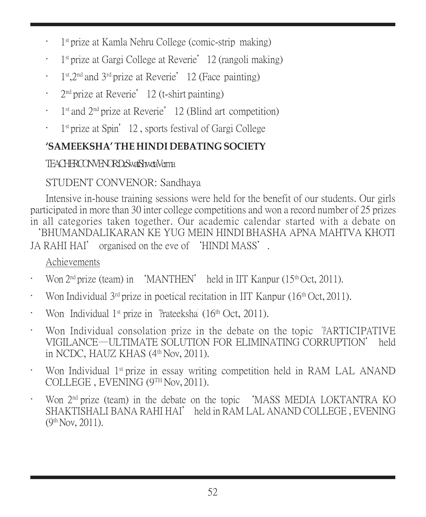- · 1 st prize at Kamla Nehru College (comic-strip making)
- <sup>1</sup> 1<sup>st</sup> prize at Gargi College at Reverie' 12 (rangoli making)
- $\cdot$  1<sup>st</sup>,2<sup>nd</sup> and 3<sup>rd</sup> prize at Reverie' 12 (Face painting)
- <sup>2nd</sup> prize at Reverie' 12 (t-shirt painting)
- <sup>1</sup> <sup>1st</sup> and 2<sup>nd</sup> prize at Reverie' 12 (Blind art competition)
- · 1 st prize at Spin'12 , sports festival of Gargi College

## **"SAMEEKSHA" THE HINDI DEBATING SOCIETY**

### TEACHERCONVENORD:SwatShwetaVerma

## STUDENT CONVENOR: Sandhaya

Intensive in-house training sessions were held for the benefit of our students. Our girls participated in more than 30 inter college competitions and won a record number of 25 prizes in all categories taken together. Our academic calendar started with a debate on 'BHUMANDALIKARAN KE YUG MEIN HINDIBHASHA APNA MAHTVA KHOTI JA RAHI HAI' organised on the eve of 'HINDI MASS'.

## Achievements

- Won 2<sup>nd</sup> prize (team) in 'MANTHEN' held in IIT Kanpur (15<sup>th</sup> Oct, 2011).
- Won Individual  $3<sup>rd</sup>$  prize in poetical recitation in IIT Kanpur (16<sup>th</sup> Oct, 2011).
- Won Individual 1<sup>st</sup> prize in 'Prateeksha' (16<sup>th</sup> Oct, 2011).
- Won Individual consolation prize in the debate on the topic 'PARTICIPATIVE' VIGILANCE—ULTIMATE SOLUTION FOR ELIMINATING CORRUPTION' held in NCDC, HAUZ KHAS (4<sup>th</sup> Nov, 2011).
- · Won Individual 1st prize in essay writing competition held in RAM LAL ANAND COLLEGE , EVENING (9TH Nov, 2011).
- Won 2<sup>nd</sup> prize (team) in the debate on the topic 'MASS MEDIA LOKTANTRA KO SHAKTISHALI BANA RAHI HAI' held in RAM LAL ANAND COLLEGE , EVENING (9th Nov, 2011).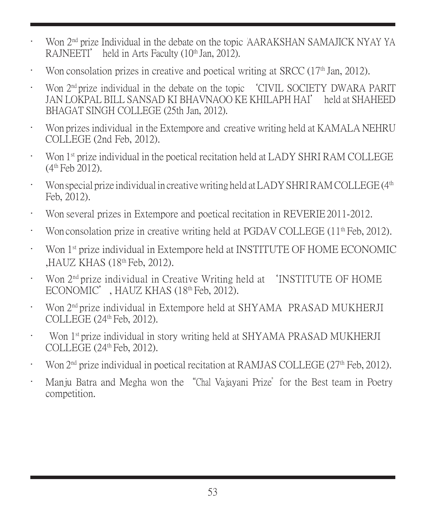- $\cdot$  Won 2<sup>nd</sup> prize Individual in the debate on the topic 'AARAKSHAN SAMAJICK NYAY YA RAJNEETI' held in Arts Faculty (10th Jan, 2012).
- $\cdot$  Won consolation prizes in creative and poetical writing at SRCC (17<sup>th</sup> Jan, 2012).
- Won 2<sup>nd</sup> prize individual in the debate on the topic 'CIVIL SOCIETY DWARA PARIT JAN LOKPAL BILL SANSAD KI BHAVNAOO KE KHILAPH HAI' held at SHAHEED BHAGAT SINGH COLLEGE (25th Jan, 2012).
- · Won prizes individual in the Extempore and creative writing held at KAMALA NEHRU COLLEGE (2nd Feb, 2012).
- · Won 1 st prize individual in the poetical recitation held at LADY SHRI RAM COLLEGE  $(4<sup>th</sup>$  Feb 2012).
- Won special prize individual in creative writing held at LADY SHRI RAM COLLEGE  $(4<sup>th</sup>$ Feb, 2012).
- · Won several prizes in Extempore and poetical recitation in REVERIE2011-2012.
- $\cdot$  Won consolation prize in creative writing held at PGDAV COLLEGE (11<sup>th</sup> Feb, 2012).
- · Won 1 st prize individual in Extempore held at INSTITUTE OF HOME ECONOMIC ,HAUZ KHAS (18th Feb, 2012).
- Won 2<sup>nd</sup> prize individual in Creative Writing held at 'INSTITUTE OF HOME ECONOMIC', HAUZ KHAS (18th Feb, 2012).
- · Won 2<sup>nd</sup> prize individual in Extempore held at SHYAMA PRASAD MUKHERJI COLLEGE (24th Feb, 2012).
- · Won 1 st prize individual in story writing held at SHYAMA PRASAD MUKHERJI COLLEGE (24th Feb, 2012).
- <sup>•</sup> Won 2<sup>nd</sup> prize individual in poetical recitation at RAMJAS COLLEGE (27<sup>th</sup> Feb, 2012).
- · Manju Batra and Megha won the 'Cha<sup>l</sup> Vajayani Prize' for the Best team in Poetry competition.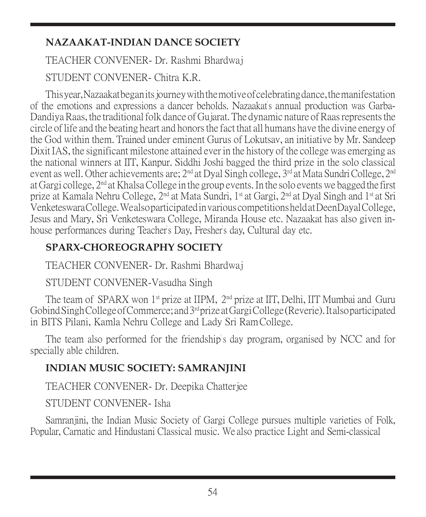## **NAZAAKAT-INDIAN DANCE SOCIETY**

TEACHER CONVENER- Dr. Rashmi Bhardwaj STUDENT CONVENER- Chitra K.R.

This year, Nazaakat began its journey with the motive of celebrating dance, the manifestation of the emotions and expressions a dancer beholds. Nazaakat's annual production was Garba-Dandiya Raas, the traditional folk dance of Gujarat. The dynamic nature of Raas represents the circle of life and the beating heart and honors the fact that all humans have the divine energy of the God within them. Trained under eminent Gurus of Lokutsav, an initiative by Mr. Sandeep DixitIAS, the significant milestone attained ever in the history of the college was emerging as the national winners at IIT, Kanpur. Siddhi Joshi bagged the third prize in the solo classical event as well. Other achievements are; 2<sup>nd</sup> at Dyal Singh college, 3<sup>rd</sup> at Mata Sundri College, 2<sup>nd</sup> at Gargi college, 2<sup>nd</sup> at Khalsa College in the group events. In the solo events we bagged the first prize at Kamala Nehru College, 2<sup>nd</sup> at Mata Sundri, 1<sup>st</sup> at Gargi, 2<sup>nd</sup> at Dyal Singh and 1<sup>st</sup> at Sri VenketeswaraCollege.WealsoparticipatedinvariouscompetitionsheldatDeenDayalCollege, Jesus and Mary, Sri Venketeswara College, Miranda House etc. Nazaakat has also given inhouse performances during Teacher's Day, Fresher's day, Cultural day etc.

## **SPARX-CHOREOGRAPHY SOCIETY**

TEACHER CONVENER- Dr. Rashmi Bhardwaj

STUDENT CONVENER-Vasudha Singh

The team of SPARX won 1<sup>st</sup> prize at IIPM, 2<sup>nd</sup> prize at IIT, Delhi, IIT Mumbai and Guru Gobind Singh College of Commerce; and 3<sup>rd</sup> prize at Gargi College (Reverie). It also participated in BITS Pilani, Kamla Nehru College and Lady Sri RamCollege.

The team also performed for the friendship's day program, organised by NCC and for specially able children.

## **INDIAN MUSIC SOCIETY: SAMRANJINI**

TEACHER CONVENER- Dr. Deepika Chatterjee

STUDENT CONVENER- Isha

Samranjini, the Indian Music Society of Gargi College pursues multiple varieties of Folk, Popular, Carnatic and Hindustani Classical music. We also practice Light and Semi-classical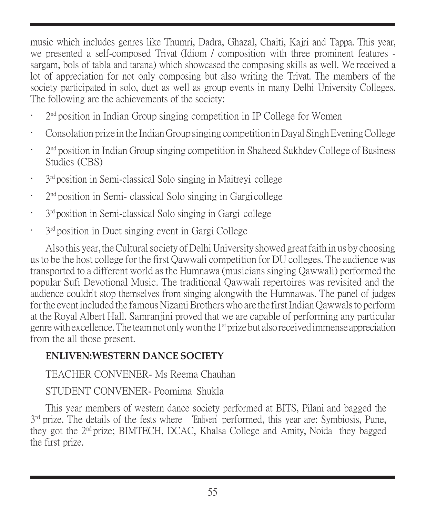music which includes genres like Thumri, Dadra, Ghazal, Chaiti, Kajri and Tappa. This year, we presented a self-composed Trivat (Idiom / composition with three prominent features sargam, bols of tabla and tarana) which showcased the composing skills as well. We received a lot of appreciation for not only composing but also writing the Trivat. The members of the society participated in solo, duet as well as group events in many Delhi University Colleges. The following are the achievements of the society:

- <sup>2nd</sup> position in Indian Group singing competition in IP College for Women
- $\cdot$  Consolation prize in the Indian Group singing competition in Dayal Singh Evening College
- <sup>2nd</sup> position in Indian Group singing competition in Shaheed Sukhdev College of Business Studies (CBS)
- · 3 rd position in Semi-classical Solo singing in Maitreyi college
- <sup>2nd</sup> position in Semi- classical Solo singing in Gargicollege
- <sup>1</sup> 3<sup>rd</sup> position in Semi-classical Solo singing in Gargi college
- · 3 rd position in Duet singing event in Gargi College

Also this year, the Cultural society of Delhi University showed great faith in us by choosing usto be the host college for the first Qawwali competition for DU colleges. The audience was transported to a different world as the Humnawa (musicians singing Qawwali) performed the popular Sufi Devotional Music. The traditional Qawwali repertoires was revisited and the audience couldn't stop themselves from singing alongwith the Humnawas. The panel of judges for the event included the famous Nizami Brothers who are the first Indian Qawwals to perform at the Royal Albert Hall. Samranjini proved that we are capable of performing any particular genre with excellence. The team not only won the  $1<sup>st</sup>$  prize but also received immense appreciation from the all those present.

### **ENLIVEN:WESTERN DANCE SOCIETY**

TEACHER CONVENER- Ms Reema Chauhan

STUDENT CONVENER- Poornima Shukla

This year members of western dance society performed at BITS, Pilani and bagged the 3<sup>rd</sup> prize. The details of the fests where 'Enliven' performed, this year are: Symbiosis, Pune, they got the 2nd prize; BIMTECH, DCAC, Khalsa College and Amity, Noida they bagged the first prize.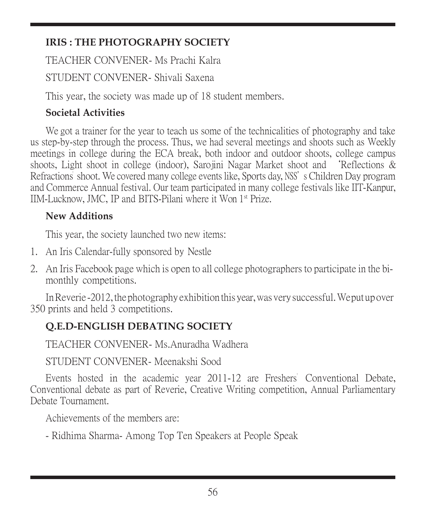## **IRIS : THE PHOTOGRAPHY SOCIETY**

TEACHER CONVENER- Ms Prachi Kalra

STUDENT CONVENER- Shivali Saxena

This year, the society was made up of 18 student members.

### **Societal Activities**

We got a trainer for the year to teach us some of the technicalities of photography and take us step-by-step through the process. Thus, we had several meetings and shoots such as Weekly meetings in college during the ECA break, both indoor and outdoor shoots, college campus shoots, Light shoot in college (indoor), Sarojini Nagar Market shoot and 'Reflections & Refractions' shoot. We covered many college events like, Sports day, NSS's Children Day program and Commerce Annual festival. Our team participated in many college festivals like IIT-Kanpur, IIM-Lucknow, JMC, IP and BITS-Pilani where it Won 1<sup>st</sup> Prize.

## **New Additions**

This year, the society launched two new items:

- 1. An Iris Calendar-fully sponsored by Nestle
- 2. An Iris Facebook page which is open to all college photographers to participate in the bimonthly competitions.

In Reverie -2012, the photography exhibition this year, was very successful. We put up over 350 prints and held 3 competitions.

## **Q.E.D-ENGLISH DEBATING SOCIETY**

TEACHER CONVENER- Ms.Anuradha Wadhera

STUDENT CONVENER- Meenakshi Sood

Events hosted in the academic year 2011-12 are Freshers' Conventional Debate, Conventional debate as part of Reverie, Creative Writing competition, Annual Parliamentary Debate Tournament.

Achievements of the members are:

- Ridhima Sharma- Among Top Ten Speakers at People Speak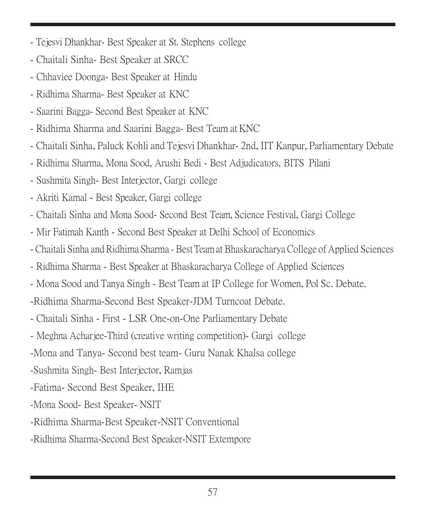- Tejesvi Dhankhar- Best Speaker at St. Stephens college
- Chaitali Sinha- Best Speaker at SRCC
- Chhaviee Doonga- Best Speaker at Hindu
- Ridhima Sharma- Best Speaker at KNC
- Saarini Bagga- Second Best Speaker at KNC
- Ridhima Sharma and Saarini Bagga- Best Team atKNC
- Chaitali Sinha, Paluck Kohli and Tejesvi Dhankhar- 2nd, IIT Kanpur, Parliamentary Debate
- Ridhima Sharma, Mona Sood, Arushi Bedi Best Adjudicators, BITS Pilani
- Sushmita Singh- Best Interjector, Gargi college
- Akriti Kamal Best Speaker, Gargi college
- Chaitali Sinha and Mona Sood- Second Best Team, Science Festival, Gargi College
- Mir Fatimah Kanth Second Best Speaker at Delhi School of Economics
- Chaitali Sinha and Ridhima Sharma Best Team at Bhaskaracharya College of Applied Sciences
- Ridhima Sharma Best Speaker at Bhaskaracharya College of Applied Sciences
- Mona Sood and Tanya Singh Best Team at IP College for Women, Pol Sc. Debate.
- -Ridhima Sharma-Second Best Speaker-JDM Turncoat Debate.
- Chaitali Sinha First LSR One-on-One Parliamentary Debate
- Meghna Acharjee-Third (creative writing competition)- Gargi college
- -Mona and Tanya- Second best team- Guru Nanak Khalsa college
- -Sushmita Singh- Best Interjector, Ramjas
- -Fatima- Second Best Speaker, IHE
- -Mona Sood- Best Speaker- NSIT
- -Ridhima Sharma-Best Speaker-NSIT Conventional
- -Ridhima Sharma-Second Best Speaker-NSIT Extempore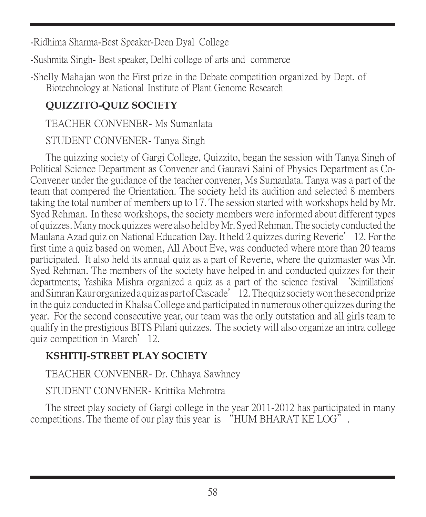-Ridhima Sharma-Best Speaker-Deen Dyal College

-Sushmita Singh- Best speaker, Delhi college of arts and commerce

-Shelly Mahajan won the First prize in the Debate competition organized by Dept. of Biotechnology at National Institute of Plant Genome Research

## **QUIZZITO-QUIZ SOCIETY**

TEACHER CONVENER- Ms Sumanlata

STUDENT CONVENER- Tanya Singh

The quizzing society of Gargi College, Quizzito, began the session with Tanya Singh of Political Science Department as Convener and Gauravi Saini of Physics Department as Co-Convener under the guidance of the teacher convener, Ms Sumanlata. Tanya was a part of the team that compered the Orientation. The society held its audition and selected 8 members taking the total number of members up to 17. The session started with workshops held by Mr. Syed Rehman. In these workshops, the society members were informed about different types of quizzes.Manymock quizzeswere also held byMr.SyedRehman.The society conducted the Maulana Azad quiz on National Education Day. It held 2 quizzes during Reverie' 12. For the first time a quiz based on women, All About Eve, was conducted where more than 20 teams participated. It also held its annual quiz as a part of Reverie, where the quizmaster was Mr. Syed Rehman. The members of the society have helped in and conducted quizzes for their departments; Yashika Mishra organized a quiz as a part of the science festival 'Scintillations' andSimranKaurorganizedaquizaspartofCascade'12.Thequizsocietywonthesecondprize in the quiz conducted in Khalsa College and participated in numerous other quizzes during the year. For the second consecutive year, our team was the only outstation and all girls team to qualify in the prestigious BITS Pilani quizzes. The society will also organize an intra college quiz competition in March' 12.

## **KSHITIJ-STREET PLAY SOCIETY**

TEACHER CONVENER- Dr. Chhaya Sawhney

STUDENT CONVENER- Krittika Mehrotra

The street play society of Gargi college in the year 2011-2012 has participated in many competitions. The theme of our play this year is "HUM BHARAT KE LOG".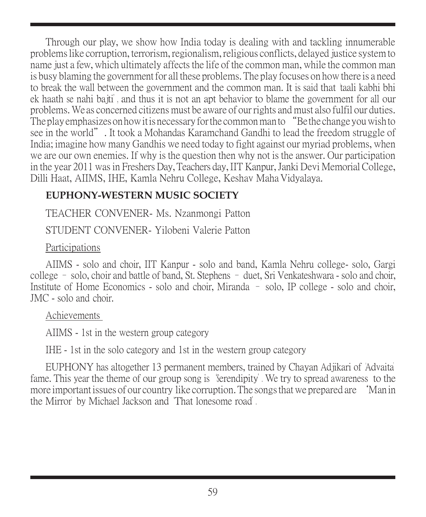Through our play, we show how India today is dealing with and tackling innumerable problems like corruption, terrorism, regionalism, religious conflicts, delayed justice system to name just a few,which ultimately affects the life of the common man, while the common man is busy blaming the government for all these problems. The play focuses on how there is a need to break the wall between the government and the common man. It is said that 'taali kabhi bhi ek haath se nahi bajti', and thus it is not an apt behavior to blame the government for all our problems. We as concerned citizens must be aware of our rights and must also fulfil our duties. The play emphasizes on how it is necessary for the common man to "Be the change you wish to see in the world'. It took a Mohandas Karamchand Gandhi to lead the freedom struggle of India; imagine how many Gandhis we need today to fight against our myriad problems, when we are our own enemies. If why is the question then why not is the answer. Our participation in the year 2011 was in Freshers Day, Teachers day, IIT Kanpur, Janki Devi Memorial College, Dilli Haat, AIIMS, IHE, Kamla Nehru College, Keshav Maha Vidyalaya.

### **EUPHONY-WESTERN MUSIC SOCIETY**

TEACHER CONVENER- Ms. Nzanmongi Patton

STUDENT CONVENER- Yilobeni Valerie Patton

Participations

AIIMS - solo and choir, IIT Kanpur - solo and band, Kamla Nehru college- solo, Gargi college – solo, choir and battle of band, St. Stephens – duet, Sri Venkateshwara - solo and choir, Institute of Home Economics - solo and choir, Miranda – solo, IP college - solo and choir, JMC - solo and choir.

Achievements

AIIMS - 1st in the western group category

IHE - 1st in the solo category and 1st in the western group category

EUPHONY has altogether 13 permanent members, trained by Chayan Adjikari of 'Advaita' fame. This year the theme of our group song is 'Serendipity'. We try to spread awareness to the more important issues of our country like corruption. The songs that we prepared are 'Man in the Mirror' by Michael Jackson and 'That lonesome road'.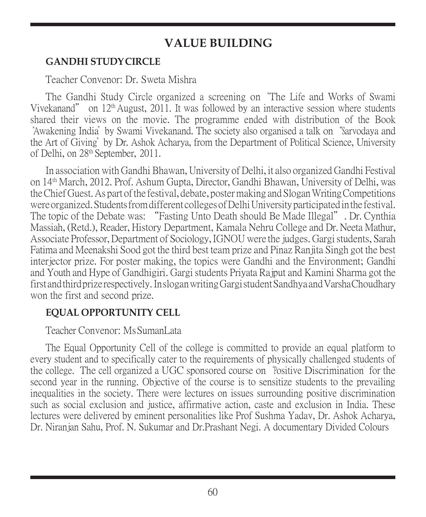# **VALUE BUILDING**

#### **GANDHI STUDYCIRCLE**

Teacher Convenor: Dr. Sweta Mishra

The Gandhi Study Circle organized a screening on 'The Life and Works of Swami Vivekanand" on  $12<sup>th</sup>$  August, 2011. It was followed by an interactive session where students shared their views on the movie. The programme ended with distribution of the Book 'Awakening India' by Swami Vivekanand. The society also organised a talk on 'Sarvodaya and the Art of Giving' by Dr. Ashok Acharya, from the Department of Political Science, University of Delhi, on 28<sup>th</sup> September, 2011.

In association with Gandhi Bhawan, University of Delhi, it also organized Gandhi Festival on 14th March, 2012. Prof. Ashum Gupta, Director, Gandhi Bhawan, University of Delhi, was the Chief Guest. As part of the festival, debate, poster making and Slogan Writing Competitions were organized. Students from different colleges of Delhi University participated in the festival. The topic of the Debate was: "Fasting Unto Death should Be Made Illegal". Dr. Cynthia Massiah, (Retd.), Reader, History Department, Kamala Nehru College and Dr. Neeta Mathur, Associate Professor, Department of Sociology, IGNOU were the judges. Gargi students, Sarah Fatima and Meenakshi Sood got the third best team prize and Pinaz Ranjita Singh got the best interjector prize. For poster making, the topics were Gandhi and the Environment; Gandhi and Youth and Hype of Gandhigiri. Gargi students Priyata Rajput and Kamini Sharma got the firstandthirdprizerespectively.InsloganwritingGargistudentSandhyaandVarshaChoudhary won the first and second prize.

### **EQUAL OPPORTUNITY CELL**

#### Teacher Convenor: MsSumanLata

The Equal Opportunity Cell of the college is committed to provide an equal platform to every student and to specifically cater to the requirements of physically challenged students of the college. The cell organized a UGC sponsored course on 'Positive Discrimination' for the second year in the running. Objective of the course is to sensitize students to the prevailing inequalities in the society. There were lectures on issues surrounding positive discrimination such as social exclusion and justice, affirmative action, caste and exclusion in India. These lectures were delivered by eminent personalities like Prof Sushma Yadav, Dr. Ashok Acharya, Dr. Niranjan Sahu, Prof. N. Sukumar and Dr.Prashant Negi. A documentary Divided Colours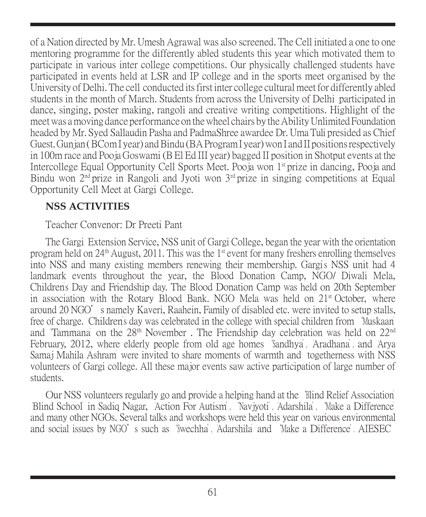of a Nation directed by Mr.Umesh Agrawal was also screened. The Cell initiated a one to one mentoring programme for the differently abled students this year which motivated them to participate in various inter college competitions. Our physically challenged students have participated in events held at LSR and IP college and in the sports meet organised by the University of Delhi. The cell conducted its first inter college cultural meet for differently abled students in the month of March. Students from across the University of Delhi participated in dance, singing, poster making, rangoli and creative writing competitions. Highlight of the meet was a moving dance performance on the wheel chairs by the Ability Unlimited Foundation headed by Mr. Syed Sallaudin Pasha and PadmaShree awardee Dr.Uma Tuli presided as Chief Guest. Gunjan (BCom I year) and Bindu (BA Program I year) won I and II positions respectively in 100m race and PoojaGoswami (B El Ed III year) bagged II position in Shotput events at the Intercollege Equal Opportunity Cell Sports Meet. Pooja won 1st prize in dancing, Pooja and Bindu won  $2<sup>nd</sup>$  prize in Rangoli and Jyoti won  $3<sup>rd</sup>$  prize in singing competitions at Equal Opportunity Cell Meet at Gargi College.

#### **NSS ACTIVITIES**

Teacher Convenor: Dr Preeti Pant

The Gargi Extension Service, NSS unit of Gargi College, began the year with the orientation program held on  $24<sup>th</sup>$  August, 2011. This was the 1<sup>st</sup> event for many freshers enrolling themselves into NSS and many existing members renewing their membership. Gargi's NSS unit had 4 landmark events throughout the year, the Blood Donation Camp, NGO/ Diwali Mela, Children's Day and Friendship day. The Blood Donation Camp was held on 20th September in association with the Rotary Blood Bank. NGO Mela was held on  $21<sup>st</sup>$  October, where around 20 NGO's namely Kaveri, Raahein, Family of disabled etc. were invited to setup stalls, free of charge. Children's day was celebrated in the college with special children from 'Muskaan' and 'Tammana' on the 28<sup>th</sup> November. The Friendship day celebration was held on 22<sup>nd</sup> February, 2012, where elderly people from old age homes 'Sandhya', 'Aradhana', and 'Arya Samaj Mahila Ashram' were invited to share moments of warmth and togetherness with NSS volunteers of Gargi college. All these major events saw active participation of large number of students.

Our NSS volunteers regularly go and provide <sup>a</sup> helping hand at the 'Blind Relief Association' 'Blind School' in Sadiq Nagar, 'Action For Autism', 'Navjyoti', 'Adarshila', 'Make <sup>a</sup> Difference' and many other NGOs. Several talks and workshops were held this year on various environmental and social issues by NGO's such as 'Swechha', 'Adarshila' and 'Make a Difference'. AIESEC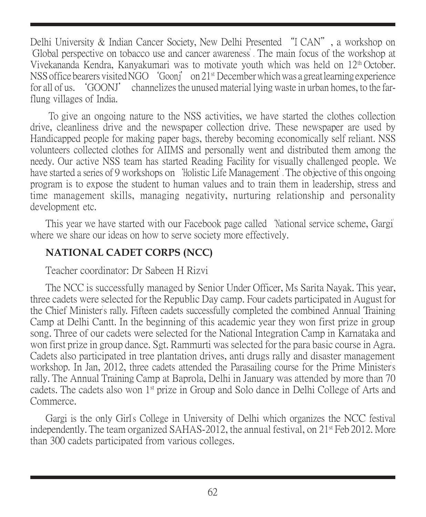Delhi University & Indian Cancer Society, New Delhi Presented "I CAN", a workshop on 'Global perspective on tobacco use and cancer awareness'. The main focus of the workshop at Vivekananda Kendra, Kanyakumari was to motivate youth which was held on  $12<sup>th</sup>$  October. NSS office bearers visited NGO 'Goonj' on 21<sup>st</sup> December which was a great learning experience for all of us. 'GOONJ' channelizes the unused material lying waste in urban homes, to the farflung villages of India.

To give an ongoing nature to the NSS activities, we have started the clothes collection drive, cleanliness drive and the newspaper collection drive. These newspaper are used by Handicapped people for making paper bags, thereby becoming economically self reliant. NSS volunteers collected clothes for AIIMS and personally went and distributed them among the needy. Our active NSS team has started Reading Facility for visually challenged people. We have started a series of 9 workshops on 'Holistic Life Management'. The objective of this ongoing program is to expose the student to human values and to train them in leadership, stress and time management skills, managing negativity, nurturing relationship and personality development etc.

This year we have started with our Facebook page called 'National service scheme, Gargi' where we share our ideas on how to serve society more effectively.

### **NATIONAL CADET CORPS (NCC)**

Teacher coordinator: Dr Sabeen H Rizvi

The NCC is successfully managed by Senior Under Officer, Ms Sarita Nayak. This year, three cadets were selected for the Republic Day camp. Four cadets participated in August for the Chief Minister's rally. Fifteen cadets successfully completed the combined Annual Training Camp at Delhi Cantt. In the beginning of this academic year they won first prize in group song. Three of our cadets were selected for the National Integration Camp in Karnataka and won first prize in group dance. Sgt. Rammurti was selected for the para basic course in Agra. Cadets also participated in tree plantation drives, anti drugs rally and disaster management workshop. In Jan, 2012, three cadets attended the Parasailing course for the Prime Minister's rally. The Annual Training Camp at Baprola, Delhi in January was attended by more than 70 cadets. The cadets also won 1<sup>st</sup> prize in Group and Solo dance in Delhi College of Arts and Commerce.

Gargi is the only Girl's College in University of Delhi which organizes the NCC festival independently. The team organized SAHAS-2012, the annual festival, on  $21<sup>st</sup>$  Feb 2012. More than 300 cadets participated from various colleges.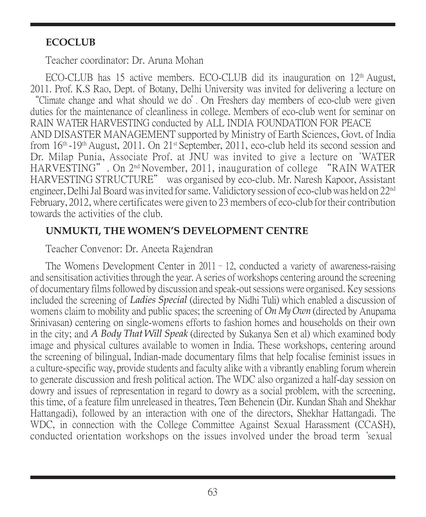### **ECOCLUB**

Teacher coordinator: Dr. Aruna Mohan

ECO-CLUB has 15 active members. ECO-CLUB did its inauguration on  $12<sup>th</sup>$  August, 2011. Prof. K.S Rao, Dept. of Botany, Delhi University was invited for delivering a lecture on 'Climate change and what should we do'. On Freshers day members of eco-club were given duties for the maintenance of cleanliness in college. Members of eco-club went for seminar on RAIN WATER HARVESTING conducted by ALL INDIA FOUNDATION FOR PEACE AND DISASTER MANAGEMENT supported by Ministry of Earth Sciences, Govt. of India from  $16<sup>th</sup> - 19<sup>th</sup>$  August, 2011. On  $21<sup>st</sup>$  September, 2011, eco-club held its second session and Dr. Milap Punia, Associate Prof. at JNU was invited to give a lecture on 'WATER HARVESTING". On 2<sup>nd</sup> November, 2011, inauguration of college "RAIN WATER" HARVESTING STRUCTURE' was organised by eco-club. Mr. Naresh Kapoor, Assistant engineer, Delhi Jal Board was invited for same. Validictory session of eco-club was held on 22<sup>nd</sup> February, 2012, where certificates were given to 23 members of eco-club for their contribution towards the activities of the club.

#### **UNMUKTI, THE WOMEN"S DEVELOPMENT CENTRE**

Teacher Convenor: Dr. Aneeta Rajendran

The Women's Development Center in 2011–12, conducted a variety of awareness-raising and sensitisation activities through the year. A series of workshops centering around the screening of documentary films followed by discussion and speak-out sessions were organised. Key sessions included the screening of *Ladies Special* (directed by Nidhi Tuli) which enabled a discussion of women's claim to mobility and public spaces; the screening of *On My Own* (directed by Anupama Srinivasan) centering on single-women's efforts to fashion homes and households on their own in the city; and *A Body That Will Speak* (directed by Sukanya Sen et al) which examined body image and physical cultures available to women in India. These workshops, centering around the screening of bilingual, Indian-made documentary films that help focalise feminist issues in a culture-specific way, provide students and faculty alike with a vibrantly enabling forum wherein to generate discussion and fresh political action. The WDC also organized a half-day session on dowry and issues of representation in regard to dowry as a social problem, with the screening, this time, of a feature film unreleased in theatres, Teen Behenein (Dir. Kundan Shah and Shekhar Hattangadi), followed by an interaction with one of the directors, Shekhar Hattangadi. The WDC, in connection with the College Committee Against Sexual Harassment (CCASH), conducted orientation workshops on the issues involved under the broad term 'sexual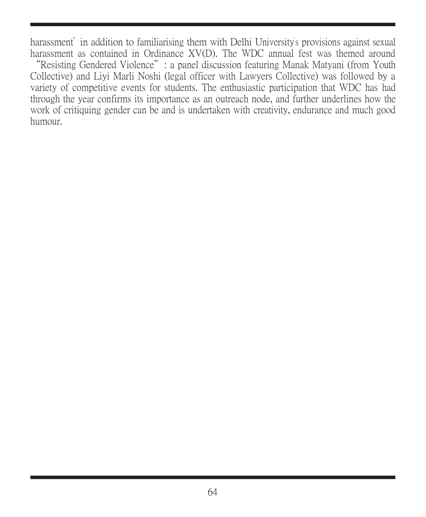harassment' in addition to familiarising them with Delhi University's provisions against sexual harassment as contained in Ordinance XV(D). The WDC annual fest was themed around

"Resisting Gendered Violence": a panel discussion featuring Manak Matyani (from Youth Collective) and Liyi Marli Noshi (legal officer with Lawyers Collective) was followed by a variety of competitive events for students. The enthusiastic participation that WDC has had through the year confirms its importance as an outreach node, and further underlines how the work of critiquing gender can be and is undertaken with creativity, endurance and much good humour.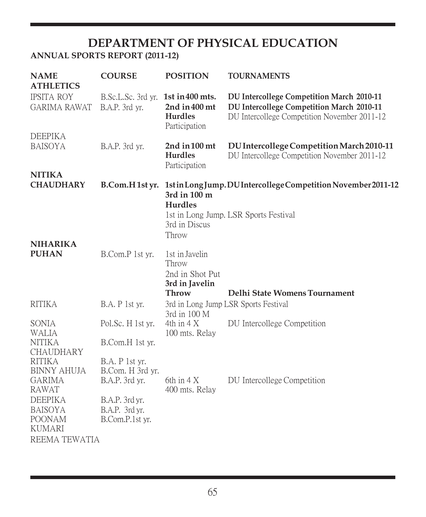# **DEPARTMENT OF PHYSICAL EDUCATION**

## **ANNUAL SPORTS REPORT (2011-12)**

| <b>NAME</b><br><b>ATHLETICS</b>                                                     | <b>COURSE</b>                                        | <b>POSITION</b>                                                              | <b>TOURNAMENTS</b>                                                                                                                     |
|-------------------------------------------------------------------------------------|------------------------------------------------------|------------------------------------------------------------------------------|----------------------------------------------------------------------------------------------------------------------------------------|
| <b>IPSITA ROY</b><br><b>GARIMA RAWAT</b>                                            | B.Sc.L.Sc. 3rd yr. 1st in 400 mts.<br>B.A.P. 3rd yr. | 2nd in $400$ mt<br><b>Hurdles</b><br>Participation                           | DU Intercollege Competition March 2010-11<br>DU Intercollege Competition March 2010-11<br>DU Intercollege Competition November 2011-12 |
| <b>DEEPIKA</b><br><b>BAISOYA</b>                                                    | B.A.P. 3rd yr.                                       | 2nd in $100$ mt<br><b>Hurdles</b><br>Participation                           | DU Intercollege Competition March 2010-11<br>DU Intercollege Competition November 2011-12                                              |
| <b>NITIKA</b><br><b>CHAUDHARY</b>                                                   |                                                      | 3rd in 100 m<br><b>Hurdles</b><br>3rd in Discus<br>Throw                     | B.Com.H 1st yr. 1st in Long Jump. DU Intercollege Competition November 2011-12<br>1st in Long Jump. LSR Sports Festival                |
| <b>NIHARIKA</b><br><b>PUHAN</b>                                                     | B.Com.P 1st yr.                                      | 1st in Javelin<br>Throw<br>2nd in Shot Put<br>3rd in Javelin<br><b>Throw</b> | Delhi State Womens Tournament                                                                                                          |
| <b>RITIKA</b>                                                                       | B.A. P 1st yr.                                       |                                                                              | 3rd in Long Jump LSR Sports Festival                                                                                                   |
| SONIA<br>WALIA<br><b>NITIKA</b><br><b>CHAUDHARY</b>                                 | Pol.Sc. H 1st yr.<br>B.Com.H 1st yr.                 | 3rd in 100 M<br>4th in $4 X$<br>100 mts. Relay                               | DU Intercollege Competition                                                                                                            |
| <b>RITIKA</b><br><b>BINNY AHUJA</b><br><b>GARIMA</b><br>RAWAT                       | B.A. P 1st yr.<br>B.Com. H 3rd yr.<br>B.A.P. 3rd yr. | 6th in 4 X<br>400 mts. Relay                                                 | DU Intercollege Competition                                                                                                            |
| <b>DEEPIKA</b><br><b>BAISOYA</b><br><b>POONAM</b><br><b>KUMARI</b><br>REEMA TEWATIA | B.A.P. 3rd yr.<br>B.A.P. 3rd yr.<br>B.Com.P.1st yr.  |                                                                              |                                                                                                                                        |
|                                                                                     |                                                      |                                                                              |                                                                                                                                        |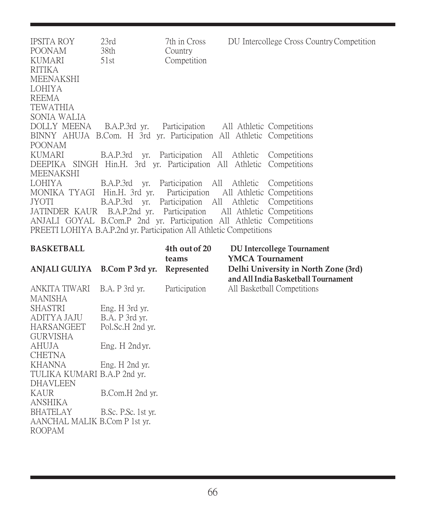IPSITA ROY 23rd 7th in Cross DU Intercollege Cross CountryCompetition POONAM 38th Country KUMARI 51st Competition RITIKA MEENAKSHI LOHIYA REEMA TEWATHIA SONIA WALIA DOLLY MEENA B.A.P.3rd yr. Participation All Athletic Competitions BINNY AHUJA B.Com. H 3rd yr. Participation All Athletic Competitions POONAM KUMARI B.A.P.3rd yr. Participation All Athletic Competitions DEEPIKA SINGH Hin.H. 3rd yr. Participation All Athletic Competitions MEENAKSHI LOHIYA B.A.P.3rd yr. Participation All Athletic Competitions MONIKA TYAGI Hin.H. 3rd yr. Participation All Athletic Competitions JYOTI B.A.P.3rd yr. Participation All Athletic Competitions JATINDER KAUR B.A.P.2nd yr. Participation All Athletic Competitions ANJALI GOYAL B.Com.P 2nd yr. Participation All Athletic Competitions PREETI LOHIYA B.A.P.2nd yr. Participation All Athletic Competitions

|                             | 4th out of 20                                                                                           | <b>DU Intercollege Tournament</b>                                           |
|-----------------------------|---------------------------------------------------------------------------------------------------------|-----------------------------------------------------------------------------|
|                             |                                                                                                         | <b>YMCA Tournament</b>                                                      |
|                             |                                                                                                         | Delhi University in North Zone (3rd)<br>and All India Basketball Tournament |
| B.A. P 3rd yr.              | Participation                                                                                           | All Basketball Competitions                                                 |
| Eng. H 3rd yr.              |                                                                                                         |                                                                             |
| B.A. P 3rd yr.              |                                                                                                         |                                                                             |
| Pol.Sc.H 2nd yr.            |                                                                                                         |                                                                             |
|                             |                                                                                                         |                                                                             |
| Eng. H 2ndyr.               |                                                                                                         |                                                                             |
|                             |                                                                                                         |                                                                             |
|                             |                                                                                                         |                                                                             |
| TULIKA KUMARI B.A.P 2nd yr. |                                                                                                         |                                                                             |
|                             |                                                                                                         |                                                                             |
| B.Com.H 2nd yr.             |                                                                                                         |                                                                             |
|                             |                                                                                                         |                                                                             |
|                             |                                                                                                         |                                                                             |
|                             |                                                                                                         |                                                                             |
|                             | ANJALI GULIYA B.Com P 3rd yr.<br>Eng. H 2nd yr.<br>B.Sc. P.Sc. 1st yr.<br>AANCHAL MALIK B.Com P 1st yr. | teams<br>Represented                                                        |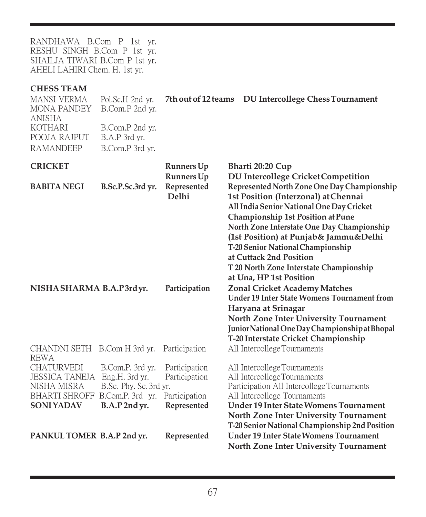RANDHAWA B.Com P 1st yr. RESHU SINGH B.Com P 1st yr. SHAILJA TIWARI B.Com P 1st yr. AHELI LAHIRI Chem. H. 1st yr.

#### **CHESS TEAM**

| <b>MANSI VERMA</b><br><b>MONA PANDEY</b><br><b>ANISHA</b>                                             | Pol.Sc.H 2nd yr.<br>B.Com.P 2nd yr.                                                               |                                                                | 7th out of 12 teams  DU Intercollege Chess Tournament                                                                                                                                                                                                                                                                                                                                              |
|-------------------------------------------------------------------------------------------------------|---------------------------------------------------------------------------------------------------|----------------------------------------------------------------|----------------------------------------------------------------------------------------------------------------------------------------------------------------------------------------------------------------------------------------------------------------------------------------------------------------------------------------------------------------------------------------------------|
| <b>KOTHARI</b>                                                                                        | B.Com.P 2nd yr.                                                                                   |                                                                |                                                                                                                                                                                                                                                                                                                                                                                                    |
| POOJA RAJPUT                                                                                          | B.A.P 3rd yr.                                                                                     |                                                                |                                                                                                                                                                                                                                                                                                                                                                                                    |
| <b>RAMANDEEP</b>                                                                                      | B.Com.P 3rd yr.                                                                                   |                                                                |                                                                                                                                                                                                                                                                                                                                                                                                    |
| <b>CRICKET</b>                                                                                        |                                                                                                   | <b>Runners</b> Up<br><b>Runners</b> Up                         | Bharti 20:20 Cup<br>DU Intercollege Cricket Competition                                                                                                                                                                                                                                                                                                                                            |
| <b>BABITA NEGI</b>                                                                                    | B.Sc.P.Sc.3rd yr.                                                                                 | Represented<br>Delhi                                           | Represented North Zone One Day Championship<br>1st Position (Interzonal) at Chennai<br>All India Senior National One Day Cricket<br>Championship 1st Position at Pune<br>North Zone Interstate One Day Championship<br>(1st Position) at Punjab& Jammu&Delhi<br>T-20 Senior National Championship<br>at Cuttack 2nd Position<br>T 20 North Zone Interstate Championship<br>at Una, HP 1st Position |
| NISHASHARMA B.A.P3rdyr.                                                                               |                                                                                                   | Participation                                                  | <b>Zonal Cricket Academy Matches</b><br><b>Under 19 Inter State Womens Tournament from</b><br>Haryana at Srinagar<br>North Zone Inter University Tournament<br>Junior National One Day Championship at Bhopal<br>T-20 Interstate Cricket Championship                                                                                                                                              |
| CHANDNI SETH B.Com H 3rd yr.<br><b>REWA</b>                                                           |                                                                                                   | Participation                                                  | All Intercollege Tournaments                                                                                                                                                                                                                                                                                                                                                                       |
| <b>CHATURVEDI</b><br><b>JESSICA TANEJA</b><br>NISHA MISRA<br><b>BHARTI SHROFF</b><br><b>SONIYADAV</b> | B.Com.P. 3rd yr.<br>Eng.H. 3rd yr.<br>B.Sc. Phy. Sc. 3rd yr.<br>B.Com.P. 3rd yr.<br>B.A.P 2nd yr. | Participation<br>Participation<br>Participation<br>Represented | All Intercollege Tournaments<br>All IntercollegeTournaments<br>Participation All Intercollege Tournaments<br>All Intercollege Tournaments<br><b>Under 19 Inter State Womens Tournament</b><br>North Zone Inter University Tournament<br>T-20 Senior National Championship 2nd Position                                                                                                             |
| PANKUL TOMER B.A.P 2nd yr.                                                                            |                                                                                                   | Represented                                                    | <b>Under 19 Inter State Womens Tournament</b><br>North Zone Inter University Tournament                                                                                                                                                                                                                                                                                                            |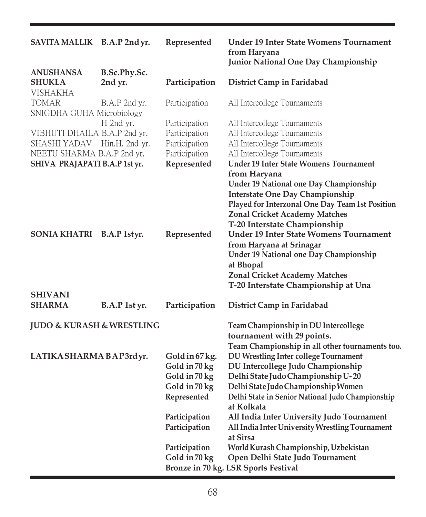| SAVITA MALLIK B.A.P 2nd yr.                                                                                                |                         | Represented                                                                                                                                          | <b>Under 19 Inter State Womens Tournament</b><br>from Haryana<br>Junior National One Day Championship                                                                                                                                                                                                                                                                                                                                                       |
|----------------------------------------------------------------------------------------------------------------------------|-------------------------|------------------------------------------------------------------------------------------------------------------------------------------------------|-------------------------------------------------------------------------------------------------------------------------------------------------------------------------------------------------------------------------------------------------------------------------------------------------------------------------------------------------------------------------------------------------------------------------------------------------------------|
| <b>ANUSHANSA</b><br><b>SHUKLA</b><br>VISHAKHA                                                                              | B.Sc.Phy.Sc.<br>2nd yr. | Participation                                                                                                                                        | District Camp in Faridabad                                                                                                                                                                                                                                                                                                                                                                                                                                  |
| TOMAR<br>SNIGDHA GUHA Microbiology                                                                                         | B.A.P 2nd yr.           | Participation                                                                                                                                        | All Intercollege Tournaments                                                                                                                                                                                                                                                                                                                                                                                                                                |
| VIBHUTI DHAILA B.A.P 2nd yr.<br>SHASHI YADAV Hin.H. 2nd yr.<br>NEETU SHARMA B.A.P 2nd yr.<br>SHIVA PRAJAPATI B.A.P 1st yr. | H 2nd yr.               | Participation<br>Participation<br>Participation<br>Participation<br>Represented                                                                      | All Intercollege Tournaments<br>All Intercollege Tournaments<br>All Intercollege Tournaments<br>All Intercollege Tournaments<br><b>Under 19 Inter State Womens Tournament</b><br>from Haryana<br>Under 19 National one Day Championship                                                                                                                                                                                                                     |
| <b>SONIA KHATRI</b>                                                                                                        | B.A.P 1styr.            | Represented                                                                                                                                          | <b>Interstate One Day Championship</b><br>Played for Interzonal One Day Team 1st Position<br><b>Zonal Cricket Academy Matches</b><br>T-20 Interstate Championship<br>Under 19 Inter State Womens Tournament<br>from Haryana at Srinagar<br>Under 19 National one Day Championship<br>at Bhopal<br><b>Zonal Cricket Academy Matches</b><br>T-20 Interstate Championship at Una                                                                               |
| <b>SHIVANI</b><br><b>SHARMA</b>                                                                                            | B.A.P 1st yr.           | Participation                                                                                                                                        | District Camp in Faridabad                                                                                                                                                                                                                                                                                                                                                                                                                                  |
| <b>JUDO &amp; KURASH &amp; WRESTLING</b>                                                                                   |                         |                                                                                                                                                      | Team Championship in DU Intercollege<br>tournament with 29 points.<br>Team Championship in all other tournaments too.                                                                                                                                                                                                                                                                                                                                       |
| LATIKA SHARMA BAP3rdyr.                                                                                                    |                         | Gold in 67 kg.<br>Gold in 70 kg<br>Gold in 70 kg<br>Gold in 70 kg<br>Represented<br>Participation<br>Participation<br>Participation<br>Gold in 70 kg | DU Wrestling Inter college Tournament<br>DU Intercollege Judo Championship<br>Delhi State Judo Championship U-20<br>Delhi State Judo Championship Women<br>Delhi State in Senior National Judo Championship<br>at Kolkata<br>All India Inter University Judo Tournament<br>All India Inter University Wrestling Tournament<br>at Sirsa<br>World Kurash Championship, Uzbekistan<br>Open Delhi State Judo Tournament<br>Bronze in 70 kg. LSR Sports Festival |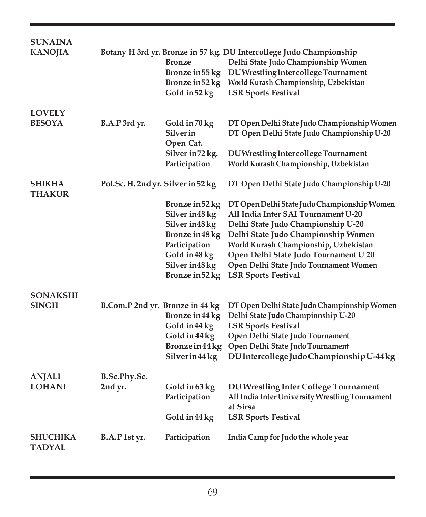| <b>SUNAINA</b>                   |                                    |                                                                                                                                                  |                                                                                                                                                                                                                                                                                                                           |
|----------------------------------|------------------------------------|--------------------------------------------------------------------------------------------------------------------------------------------------|---------------------------------------------------------------------------------------------------------------------------------------------------------------------------------------------------------------------------------------------------------------------------------------------------------------------------|
| <b>KANOJIA</b>                   |                                    | <b>Bronze</b><br>Bronze in 55 kg<br>Bronze in 52 kg<br>Gold in 52 kg                                                                             | Botany H 3rd yr. Bronze in 57 kg. DU Intercollege Judo Championship<br>Delhi State Judo Championship Women<br>DUWrestling Inter college Tournament<br>World Kurash Championship, Uzbekistan<br><b>LSR Sports Festival</b>                                                                                                 |
| <b>LOVELY</b>                    |                                    |                                                                                                                                                  |                                                                                                                                                                                                                                                                                                                           |
| <b>BESOYA</b>                    | B.A.P 3rd yr.                      | Gold in 70 kg<br><b>Silver</b> in<br>Open Cat.                                                                                                   | DT Open Delhi State Judo Championship Women<br>DT Open Delhi State Judo Championship U-20                                                                                                                                                                                                                                 |
|                                  |                                    | Silver in 72 kg.<br>Participation                                                                                                                | DU Wrestling Inter college Tournament<br>World Kurash Championship, Uzbekistan                                                                                                                                                                                                                                            |
| <b>SHIKHA</b><br><b>THAKUR</b>   | Pol.Sc. H. 2nd yr. Silver in 52 kg |                                                                                                                                                  | DT Open Delhi State Judo Championship U-20                                                                                                                                                                                                                                                                                |
|                                  |                                    | Bronze in 52 kg<br>Silver in 48 kg<br>Silver in 48 kg<br>Bronze in 48 kg<br>Participation<br>Gold in 48 kg<br>Silver in 48 kg<br>Bronze in 52 kg | DT Open Delhi State Judo Championship Women<br>All India Inter SAI Tournament U-20<br>Delhi State Judo Championship U-20<br>Delhi State Judo Championship Women<br>World Kurash Championship, Uzbekistan<br>Open Delhi State Judo Tournament U 20<br>Open Delhi State Judo Tournament Women<br><b>LSR Sports Festival</b> |
| <b>SONAKSHI</b>                  |                                    |                                                                                                                                                  |                                                                                                                                                                                                                                                                                                                           |
| <b>SINGH</b>                     | B.Com.P 2nd yr. Bronze in 44 kg    | Bronze in 44 kg<br>Gold in 44 kg<br>Gold in 44 kg<br>Bronze in 44 kg<br>Silverin44kg                                                             | DT Open Delhi State Judo Championship Women<br>Delhi State Judo Championship U-20<br><b>LSR Sports Festival</b><br>Open Delhi State Judo Tournament<br>Open Delhi State Judo Tournament<br>DU Intercollege Judo Championship U-44 kg                                                                                      |
| <b>ANJALI</b>                    | B.Sc.Phy.Sc.                       |                                                                                                                                                  |                                                                                                                                                                                                                                                                                                                           |
| <b>LOHANI</b>                    | 2nd yr.                            | Gold in 63 kg<br>Participation                                                                                                                   | DU Wrestling Inter College Tournament<br>All India Inter University Wrestling Tournament<br>at Sirsa                                                                                                                                                                                                                      |
|                                  |                                    | Gold in 44 kg                                                                                                                                    | <b>LSR Sports Festival</b>                                                                                                                                                                                                                                                                                                |
| <b>SHUCHIKA</b><br><b>TADYAL</b> | B.A.P 1st yr.                      | Participation                                                                                                                                    | India Camp for Judo the whole year                                                                                                                                                                                                                                                                                        |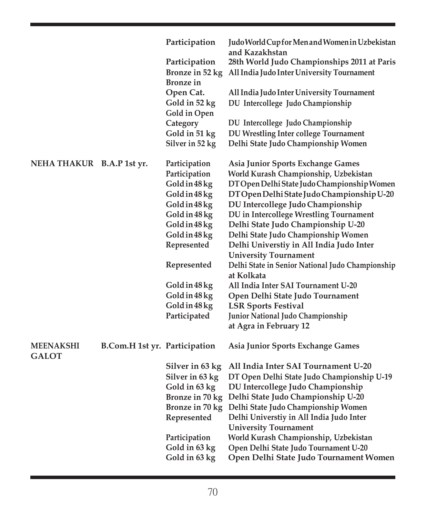|                                  |                               | Participation                                                                                                                                                                                                                | Judo World Cup for Men and Women in Uzbekistan<br>and Kazakhstan                                                                                                                                                                                                                                                                                                                                                                                                                                                                                                                                                                                           |  |
|----------------------------------|-------------------------------|------------------------------------------------------------------------------------------------------------------------------------------------------------------------------------------------------------------------------|------------------------------------------------------------------------------------------------------------------------------------------------------------------------------------------------------------------------------------------------------------------------------------------------------------------------------------------------------------------------------------------------------------------------------------------------------------------------------------------------------------------------------------------------------------------------------------------------------------------------------------------------------------|--|
|                                  |                               | Participation<br>Bronze in 52 kg<br><b>Bronze</b> in<br>Open Cat.<br>Gold in 52 kg<br>Gold in Open                                                                                                                           | 28th World Judo Championships 2011 at Paris<br>All India Judo Inter University Tournament                                                                                                                                                                                                                                                                                                                                                                                                                                                                                                                                                                  |  |
|                                  |                               |                                                                                                                                                                                                                              | All India Judo Inter University Tournament<br>DU Intercollege Judo Championship                                                                                                                                                                                                                                                                                                                                                                                                                                                                                                                                                                            |  |
|                                  |                               | Category<br>Gold in 51 kg<br>Silver in 52 kg                                                                                                                                                                                 | DU Intercollege Judo Championship<br>DU Wrestling Inter college Tournament<br>Delhi State Judo Championship Women                                                                                                                                                                                                                                                                                                                                                                                                                                                                                                                                          |  |
| NEHA THAKUR B.A.P 1st yr.        |                               | Participation<br>Participation<br>Goldin48kg<br>Goldin48kg<br>Goldin48kg<br>Gold in 48 kg<br>Gold in 48 kg<br>Gold in 48 kg<br>Represented<br>Represented<br>Gold in 48 kg<br>Gold in 48 kg<br>Gold in 48 kg<br>Participated | Asia Junior Sports Exchange Games<br>World Kurash Championship, Uzbekistan<br>DT Open Delhi State Judo Championship Women<br>DT Open Delhi State Judo Championship U-20<br>DU Intercollege Judo Championship<br>DU in Intercollege Wrestling Tournament<br>Delhi State Judo Championship U-20<br>Delhi State Judo Championship Women<br>Delhi Universtiy in All India Judo Inter<br><b>University Tournament</b><br>Delhi State in Senior National Judo Championship<br>at Kolkata<br>All India Inter SAI Tournament U-20<br>Open Delhi State Judo Tournament<br><b>LSR Sports Festival</b><br>Junior National Judo Championship<br>at Agra in February 12 |  |
| <b>MEENAKSHI</b><br><b>GALOT</b> | B.Com.H 1st yr. Participation |                                                                                                                                                                                                                              | Asia Junior Sports Exchange Games                                                                                                                                                                                                                                                                                                                                                                                                                                                                                                                                                                                                                          |  |
|                                  |                               | Silver in 63 kg<br>Silver in 63 kg<br>Gold in 63 kg<br>Bronze in 70 kg<br>Bronze in 70 kg<br>Represented<br>Participation<br>Gold in 63 kg<br>Gold in 63 kg                                                                  | All India Inter SAI Tournament U-20<br>DT Open Delhi State Judo Championship U-19<br>DU Intercollege Judo Championship<br>Delhi State Judo Championship U-20<br>Delhi State Judo Championship Women<br>Delhi Universtiy in All India Judo Inter<br><b>University Tournament</b><br>World Kurash Championship, Uzbekistan<br>Open Delhi State Judo Tournament U-20<br>Open Delhi State Judo Tournament Women                                                                                                                                                                                                                                                |  |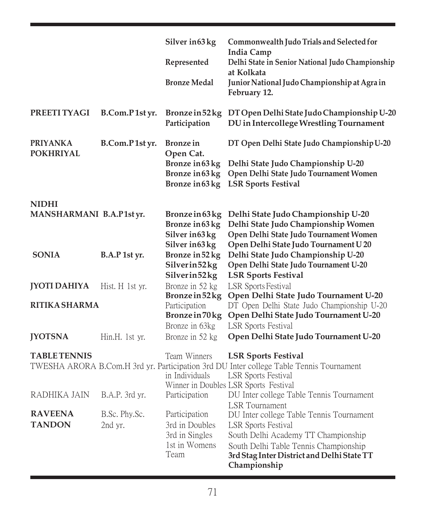|                                     |                 | Silver in 63 kg                                                          | Commonwealth Judo Trials and Selected for                                                                                                                      |  |  |
|-------------------------------------|-----------------|--------------------------------------------------------------------------|----------------------------------------------------------------------------------------------------------------------------------------------------------------|--|--|
|                                     |                 | Represented                                                              | India Camp<br>Delhi State in Senior National Judo Championship                                                                                                 |  |  |
|                                     |                 | <b>Bronze Medal</b>                                                      | at Kolkata<br>Junior National Judo Championship at Agrain<br>February 12.                                                                                      |  |  |
| PREETI TYAGI                        | B.Com.P1st yr.  | Bronze in 52 kg<br>Participation                                         | DT Open Delhi State Judo Championship U-20<br>DU in Intercollege Wrestling Tournament                                                                          |  |  |
| <b>PRIYANKA</b><br><b>POKHRIYAL</b> | B.Com.P1st yr.  | <b>Bronze</b> in<br>Open Cat.                                            | DT Open Delhi State Judo Championship U-20                                                                                                                     |  |  |
|                                     |                 | Bronze in 63 kg<br>Bronze in 63 kg<br>Bronze in 63 kg                    | Delhi State Judo Championship U-20<br>Open Delhi State Judo Tournament Women<br><b>LSR Sports Festival</b>                                                     |  |  |
| <b>NIDHI</b>                        |                 |                                                                          |                                                                                                                                                                |  |  |
| MANSHARMANI B.A.P1styr.             |                 | Bronze in 63 kg<br>Bronze in 63 kg<br>Silver in 63 kg<br>Silver in 63 kg | Delhi State Judo Championship U-20<br>Delhi State Judo Championship Women<br>Open Delhi State Judo Tournament Women<br>Open Delhi State Judo Tournament U 20   |  |  |
| <b>SONIA</b>                        | B.A.P 1st yr.   | Bronze in 52 kg<br>Silverin52kg<br>Silverin52kg                          | Delhi State Judo Championship U-20<br>Open Delhi State Judo Tournament U-20<br><b>LSR Sports Festival</b>                                                      |  |  |
| <b>JYOTI DAHIYA</b>                 | Hist. H 1st yr. | Bronze in 52 kg<br>Bronze in 52 kg                                       | <b>LSR Sports Festival</b><br>Open Delhi State Judo Tournament U-20                                                                                            |  |  |
| <b>RITIKA SHARMA</b>                |                 | Participation<br>Bronze in 70 kg                                         | DT Open Delhi State Judo Championship U-20<br>Open Delhi State Judo Tournament U-20                                                                            |  |  |
|                                     |                 | Bronze in 63kg                                                           | <b>LSR Sports Festival</b>                                                                                                                                     |  |  |
| <b>JYOTSNA</b>                      | Hin.H. 1st yr.  | Bronze in 52 kg                                                          | Open Delhi State Judo Tournament U-20                                                                                                                          |  |  |
| <b>TABLE TENNIS</b>                 |                 | Team Winners                                                             | <b>LSR Sports Festival</b>                                                                                                                                     |  |  |
|                                     |                 | in Individuals                                                           | TWESHA ARORA B.Com.H 3rd yr. Participation 3rd DU Inter college Table Tennis Tournament<br><b>LSR Sports Festival</b><br>Winner in Doubles LSR Sports Festival |  |  |
| RADHIKA JAIN                        | B.A.P. 3rd yr.  | Participation                                                            | DU Inter college Table Tennis Tournament<br><b>LSR</b> Tournament                                                                                              |  |  |
| <b>RAVEENA</b>                      | B.Sc. Phy.Sc.   | Participation                                                            | DU Inter college Table Tennis Tournament                                                                                                                       |  |  |
| <b>TANDON</b>                       | 2nd yr.         | 3rd in Doubles<br>3rd in Singles                                         | <b>LSR Sports Festival</b>                                                                                                                                     |  |  |
|                                     |                 | 1st in Womens                                                            | South Delhi Academy TT Championship<br>South Delhi Table Tennis Championship                                                                                   |  |  |
|                                     |                 | Team                                                                     | 3rd Stag Inter District and Delhi State TT                                                                                                                     |  |  |
|                                     |                 |                                                                          | Championship                                                                                                                                                   |  |  |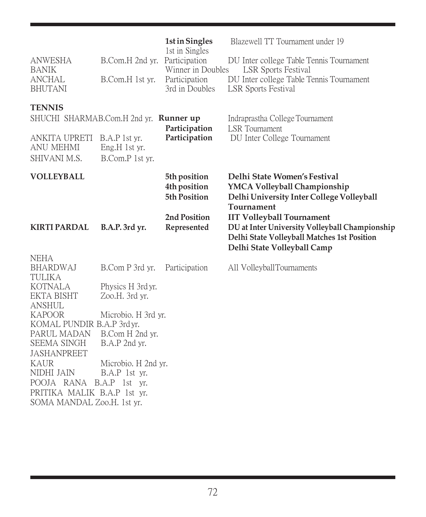| <b>ANWESHA</b><br><b>BANIK</b><br>ANCHAL<br><b>BHUTANI</b><br><b>TENNIS</b>                                                                                                                                                                                                                         | B.Com.H 2nd yr. Participation<br>B.Com.H 1st yr.                                                                                                                           | 1st in Singles<br>1st in Singles<br>Winner in Doubles<br>Participation<br>3rd in Doubles | Blazewell TT Tournament under 19<br>DU Inter college Table Tennis Tournament<br><b>LSR Sports Festival</b><br>DU Inter college Table Tennis Tournament<br><b>LSR Sports Festival</b> |
|-----------------------------------------------------------------------------------------------------------------------------------------------------------------------------------------------------------------------------------------------------------------------------------------------------|----------------------------------------------------------------------------------------------------------------------------------------------------------------------------|------------------------------------------------------------------------------------------|--------------------------------------------------------------------------------------------------------------------------------------------------------------------------------------|
| SHUCHI SHARMAB.Com.H 2nd yr. Runner up                                                                                                                                                                                                                                                              |                                                                                                                                                                            |                                                                                          | Indraprastha College Tournament                                                                                                                                                      |
| ANKITA UPRETI<br><b>ANU MEHMI</b><br>SHIVANI M.S.                                                                                                                                                                                                                                                   | B.A.P 1st yr.<br>Eng.H 1st yr.<br>B.Com.P 1st yr.                                                                                                                          | Participation<br>Participation                                                           | <b>LSR</b> Tournament<br>DU Inter College Tournament                                                                                                                                 |
| <b>VOLLEYBALL</b>                                                                                                                                                                                                                                                                                   |                                                                                                                                                                            | 5th position<br>4th position<br><b>5th Position</b>                                      | Delhi State Women's Festival<br>YMCA Volleyball Championship<br>Delhi University Inter College Volleyball<br>Tournament                                                              |
| <b>KIRTI PARDAL</b>                                                                                                                                                                                                                                                                                 | B.A.P. 3rd yr.                                                                                                                                                             | 2nd Position<br>Represented                                                              | <b>IIT Volleyball Tournament</b><br>DU at Inter University Volleyball Championship<br>Delhi State Volleyball Matches 1st Position<br>Delhi State Volleyball Camp                     |
| <b>NEHA</b><br><b>BHARDWAJ</b><br>TULIKA<br><b>KOTNALA</b><br><b>EKTA BISHT</b><br><b>ANSHUL</b><br><b>KAPOOR</b><br>KOMAL PUNDIR B.A.P 3rdyr.<br>PARUL MADAN<br>SEEMA SINGH<br><b>JASHANPREET</b><br>KAUR<br>NIDHI JAIN<br>POOJA RANA<br>PRITIKA MALIK B.A.P 1st yr.<br>SOMA MANDAL Zoo.H. 1st yr. | B.Com P 3rd yr.<br>Physics H 3rd yr.<br>Zoo.H. 3rd yr.<br>Microbio. H 3rd yr.<br>B.Com H 2nd yr.<br>B.A.P 2nd yr.<br>Microbio. H 2nd yr.<br>B.A.P 1st yr.<br>B.A.P 1st yr. | Participation                                                                            | All VolleyballTournaments                                                                                                                                                            |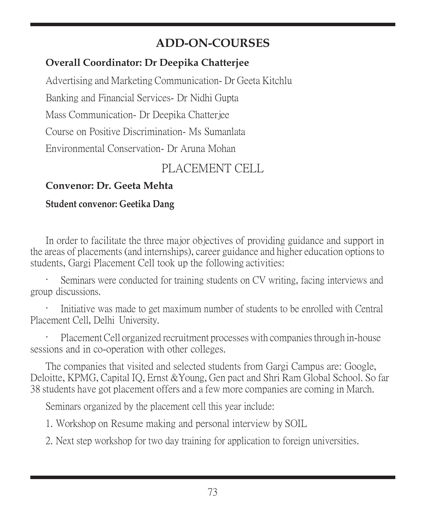# **ADD-ON-COURSES**

### **Overall Coordinator: Dr Deepika Chatterjee**

Advertising and Marketing Communication- Dr Geeta Kitchlu Banking and Financial Services- Dr Nidhi Gupta Mass Communication- Dr Deepika Chatterjee Course on Positive Discrimination- Ms Sumanlata Environmental Conservation- Dr Aruna Mohan

## PLACEMENT CELL

### **Convenor: Dr. Geeta Mehta**

#### **Student convenor: Geetika Dang**

In order to facilitate the three major objectives of providing guidance and support in the areas of placements (and internships), career guidance and higher education options to students, Gargi Placement Cell took up the following activities:

· Seminars were conducted for training students on CV writing, facing interviews and group discussions.

· Initiative was made to get maximum number of students to be enrolled with Central Placement Cell, Delhi University.

Placement Cell organized recruitment processes with companies through in-house sessions and in co-operation with other colleges.

The companies that visited and selected students from Gargi Campus are: Google, Deloitte, KPMG, Capital IQ, Ernst &Young, Gen pact and Shri Ram Global School. So far 38 students have got placement offers and a few more companies are coming in March.

Seminars organized by the placement cell this year include:

1. Workshop on Resume making and personal interview by SOIL

2. Next step workshop for two day training for application to foreign universities.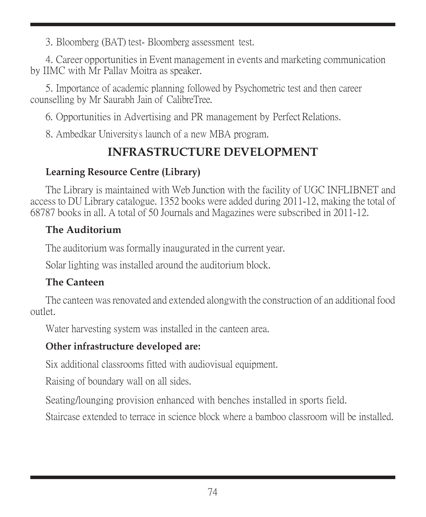3. Bloomberg (BAT) test- Bloomberg assessment test.

4. Career opportunities in Event management in events and marketing communication by IIMC with Mr Pallav Moitra as speaker.

5. Importance of academic planning followed by Psychometric test and then career counselling by Mr Saurabh Jain of CalibreTree.

6. Opportunities in Advertising and PR management by Perfect Relations.

8. Ambedkar University's launch of a new MBA program.

# **INFRASTRUCTURE DEVELOPMENT**

## **Learning Resource Centre (Library)**

The Library is maintained with Web Junction with the facility of UGC INFLIBNET and access to DU Library catalogue. 1352 books were added during 2011-12, making the total of 68787 books in all. A total of 50 Journals and Magazines were subscribed in 2011-12.

### **The Auditorium**

The auditorium was formally inaugurated in the current year.

Solar lighting was installed around the auditorium block.

## **The Canteen**

The canteen was renovated and extended alongwith the construction of an additional food outlet.

Water harvesting system was installed in the canteen area.

## **Other infrastructure developed are:**

Six additional classrooms fitted with audiovisual equipment.

Raising of boundary wall on all sides.

Seating/lounging provision enhanced with benches installed in sports field.

Staircase extended to terrace in science block where a bamboo classroom will be installed.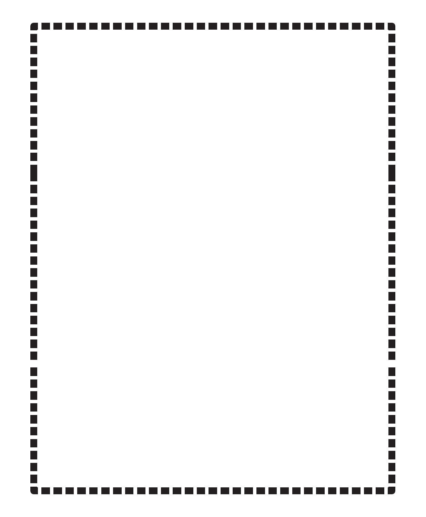